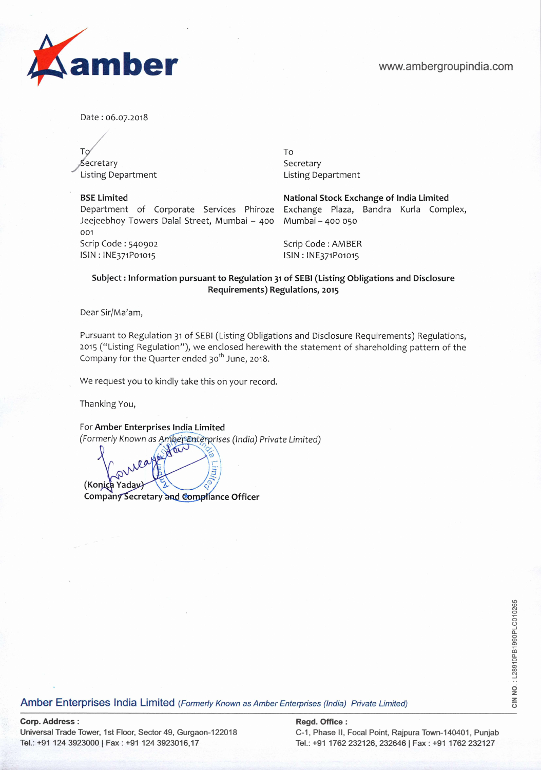

Date: 06.07.2018

To To ,, Secretary Secretary Secretary Secretary Listing Department Listing Department

**BSE Limited National Stock Exchange of India Limited**  Department of Corporate Services Phiroze Exchange Plaza, Bandra Kurla Complex, Jeejeebhoy Towers Dalal Street, Mumbai — 400 Mumbai — 400 050 001 Scrip Code: 540902 Scrip Code: AMBER ISIN: INE371P01015 SIN: INE371Po1015

## **Subject: Information pursuant to Regulation 31 of SEBI (Listing Obligations and Disclosure Requirements) Regulations, 2015**

Dear Sir/Ma'am,

Pursuant to Regulation 31 of SEBI (Listing Obligations and Disclosure Requirements) Regulations, 2015 ("Listing Regulation"), we enclosed herewith the statement of shareholding pattern of the Company for the Quarter ended 30<sup>th</sup> June, 2018.

We request you to kindly take this on your record.

Thanking You,

For **Amber Enterprises India Limited**  (Formerly Known as Amber Enterprises (India) Private Limited)

Ę (Konica Yaday) **Company Secretary and Compliance Officer** 

for

Amber Enterprises India Limited (Formerly Known as Amber Enterprises (India) Private Limited)

## **Corp. Address: Regal. Office: Regal. Office: Regd. Office: Regd. Office: Regd. Office: Regd. Office: Regd.** Office: **Regd.** Office: **Regd.** Office: **Regd.** Office: **Regd.** Office: **Regd.** Office: **Regd.** Of

Universal Trade Tower, 1st Floor, Sector 49, Gurgaon-122018 C-1, Phase II, Focal Point, Rajpura Town-140401, Punjab

Tel.: +91 124 3923000 | Fax: +91 124 3923016,17 Tel.: +91 1762 232126, 232646 | Fax: +91 1762 232127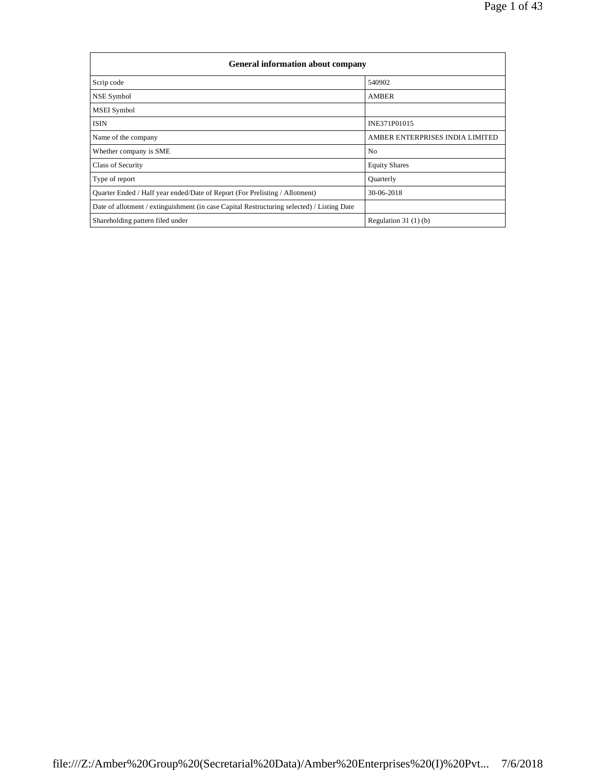| <b>General information about company</b>                                                   |                                 |
|--------------------------------------------------------------------------------------------|---------------------------------|
| Scrip code                                                                                 | 540902                          |
| NSE Symbol                                                                                 | <b>AMBER</b>                    |
| <b>MSEI</b> Symbol                                                                         |                                 |
| <b>ISIN</b>                                                                                | INE371P01015                    |
| Name of the company                                                                        | AMBER ENTERPRISES INDIA LIMITED |
| Whether company is SME                                                                     | N <sub>0</sub>                  |
| Class of Security                                                                          | <b>Equity Shares</b>            |
| Type of report                                                                             | Quarterly                       |
| Quarter Ended / Half year ended/Date of Report (For Prelisting / Allotment)                | 30-06-2018                      |
| Date of allotment / extinguishment (in case Capital Restructuring selected) / Listing Date |                                 |
| Shareholding pattern filed under                                                           | Regulation $31(1)(b)$           |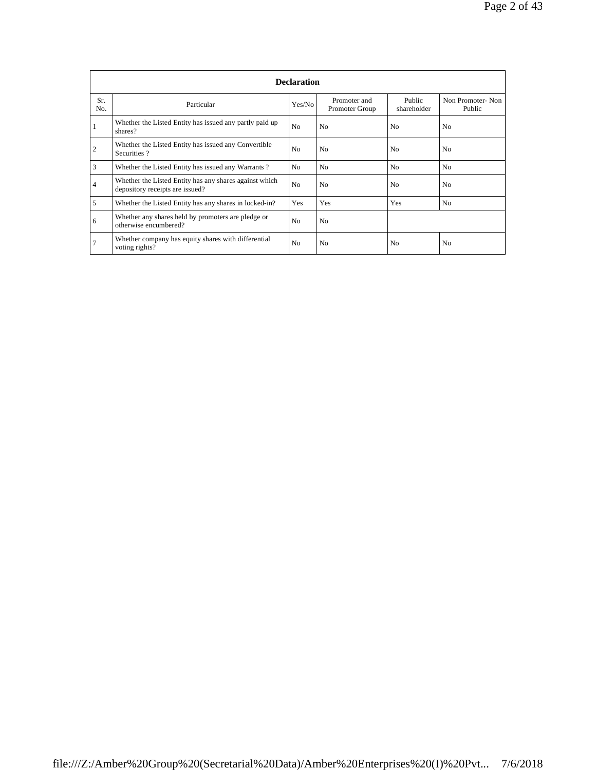|                | <b>Declaration</b>                                                                        |                |                                |                       |                            |  |  |  |
|----------------|-------------------------------------------------------------------------------------------|----------------|--------------------------------|-----------------------|----------------------------|--|--|--|
| Sr.<br>No.     | Particular                                                                                | Yes/No         | Promoter and<br>Promoter Group | Public<br>shareholder | Non Promoter-Non<br>Public |  |  |  |
|                | Whether the Listed Entity has issued any partly paid up<br>shares?                        | N <sub>o</sub> | N <sub>o</sub>                 | N <sub>0</sub>        | N <sub>0</sub>             |  |  |  |
| $\overline{2}$ | Whether the Listed Entity has issued any Convertible<br>Securities?                       | N <sub>0</sub> | N <sub>0</sub>                 | N <sub>0</sub>        | N <sub>0</sub>             |  |  |  |
| 3              | Whether the Listed Entity has issued any Warrants?                                        | N <sub>0</sub> | N <sub>0</sub>                 | N <sub>0</sub>        | No                         |  |  |  |
| 4              | Whether the Listed Entity has any shares against which<br>depository receipts are issued? | N <sub>o</sub> | N <sub>0</sub>                 | N <sub>0</sub>        | N <sub>0</sub>             |  |  |  |
| 5              | Whether the Listed Entity has any shares in locked-in?                                    | Yes            | Yes                            | Yes                   | N <sub>0</sub>             |  |  |  |
| 6              | Whether any shares held by promoters are pledge or<br>otherwise encumbered?               | N <sub>o</sub> | N <sub>o</sub>                 |                       |                            |  |  |  |
| 7              | Whether company has equity shares with differential<br>voting rights?                     | N <sub>0</sub> | N <sub>0</sub>                 | N <sub>0</sub>        | N <sub>0</sub>             |  |  |  |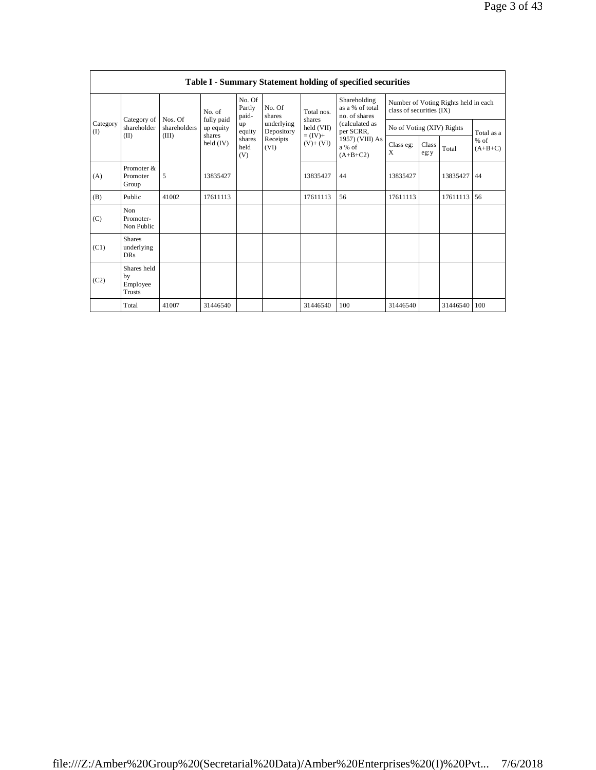|                 |                                                |                         |                         |                           |                          |                          | <b>Table I - Summary Statement holding of specified securities</b> |                           |               |                                      |                     |
|-----------------|------------------------------------------------|-------------------------|-------------------------|---------------------------|--------------------------|--------------------------|--------------------------------------------------------------------|---------------------------|---------------|--------------------------------------|---------------------|
|                 |                                                |                         | No. of                  | No. Of<br>Partly<br>paid- | No. Of<br>shares         | Total nos.               | Shareholding<br>as a % of total<br>no. of shares                   | class of securities (IX)  |               | Number of Voting Rights held in each |                     |
| Category<br>(1) | Category of<br>shareholder                     | Nos. Of<br>shareholders | fully paid<br>up equity | up<br>equity              | underlying<br>Depository | shares<br>held (VII)     | (calculated as<br>per SCRR,                                        | No of Voting (XIV) Rights |               |                                      | Total as a          |
|                 | (II)                                           | (III)                   | shares<br>held $(IV)$   | shares<br>held<br>(V)     | Receipts<br>(VI)         | $= (IV) +$<br>$(V)+(VI)$ | 1957) (VIII) As<br>a % of<br>$(A+B+C2)$                            | Class eg:<br>X            | Class<br>eg:y | Total                                | $%$ of<br>$(A+B+C)$ |
| (A)             | Promoter &<br>Promoter<br>Group                | 5                       | 13835427                |                           |                          | 13835427                 | 44                                                                 | 13835427                  |               | 13835427                             | 44                  |
| (B)             | Public                                         | 41002                   | 17611113                |                           |                          | 17611113                 | 56                                                                 | 17611113                  |               | 17611113                             | 56                  |
| (C)             | Non<br>Promoter-<br>Non Public                 |                         |                         |                           |                          |                          |                                                                    |                           |               |                                      |                     |
| (C1)            | <b>Shares</b><br>underlying<br><b>DRs</b>      |                         |                         |                           |                          |                          |                                                                    |                           |               |                                      |                     |
| (C2)            | Shares held<br>by<br>Employee<br><b>Trusts</b> |                         |                         |                           |                          |                          |                                                                    |                           |               |                                      |                     |
|                 | Total                                          | 41007                   | 31446540                |                           |                          | 31446540                 | 100                                                                | 31446540                  |               | 31446540   100                       |                     |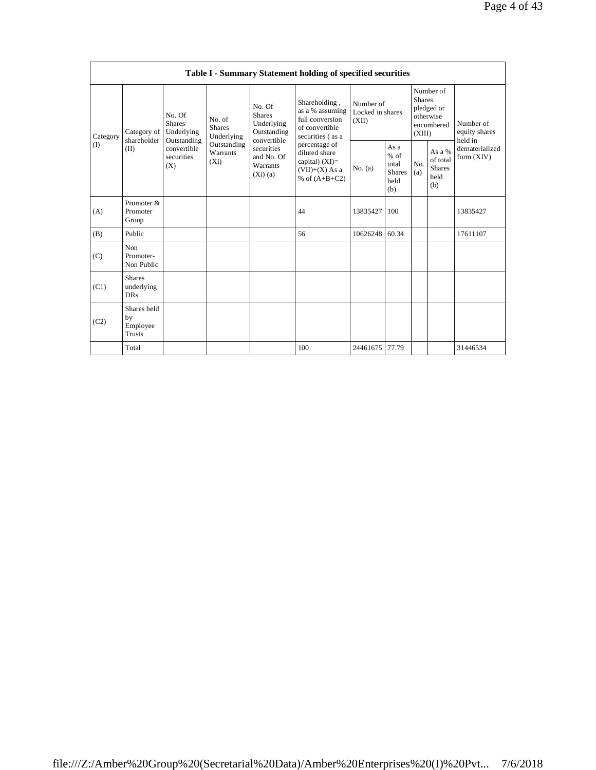|          |                                                |                                                      |                                       |                                                                     | Table I - Summary Statement holding of specified securities                                |                                        |                                                           |                         |                                                    |                                       |
|----------|------------------------------------------------|------------------------------------------------------|---------------------------------------|---------------------------------------------------------------------|--------------------------------------------------------------------------------------------|----------------------------------------|-----------------------------------------------------------|-------------------------|----------------------------------------------------|---------------------------------------|
| Category | Category of<br>shareholder                     | No. Of<br><b>Shares</b><br>Underlying<br>Outstanding | No. of<br><b>Shares</b><br>Underlying | No. Of<br><b>Shares</b><br>Underlying<br>Outstanding<br>convertible | Shareholding,<br>as a % assuming<br>full conversion<br>of convertible<br>securities (as a  | Number of<br>Locked in shares<br>(XII) |                                                           | <b>Shares</b><br>(XIII) | Number of<br>pledged or<br>otherwise<br>encumbered | Number of<br>equity shares<br>held in |
| (I)      | (II)                                           | convertible<br>securities<br>(X)                     | Outstanding<br>Warrants<br>$(X_i)$    | securities<br>and No. Of<br>Warrants<br>(Xi)(a)                     | percentage of<br>diluted share<br>capital) $(XI)$ =<br>$(VII)+(X)$ As a<br>% of $(A+B+C2)$ | No. (a)                                | As $a$<br>$%$ of<br>total<br><b>Shares</b><br>held<br>(b) | No.<br>(a)              | As a %<br>of total<br><b>Shares</b><br>held<br>(b) | dematerialized<br>form $(XIV)$        |
| (A)      | Promoter &<br>Promoter<br>Group                |                                                      |                                       |                                                                     | 44                                                                                         | 13835427                               | 100                                                       |                         |                                                    | 13835427                              |
| (B)      | Public                                         |                                                      |                                       |                                                                     | 56                                                                                         | 10626248                               | 60.34                                                     |                         |                                                    | 17611107                              |
| (C)      | Non<br>Promoter-<br>Non Public                 |                                                      |                                       |                                                                     |                                                                                            |                                        |                                                           |                         |                                                    |                                       |
| (C1)     | <b>Shares</b><br>underlying<br><b>DRs</b>      |                                                      |                                       |                                                                     |                                                                                            |                                        |                                                           |                         |                                                    |                                       |
| (C2)     | Shares held<br>by<br>Employee<br><b>Trusts</b> |                                                      |                                       |                                                                     |                                                                                            |                                        |                                                           |                         |                                                    |                                       |
|          | Total                                          |                                                      |                                       |                                                                     | 100                                                                                        | 24461675                               | 77.79                                                     |                         |                                                    | 31446534                              |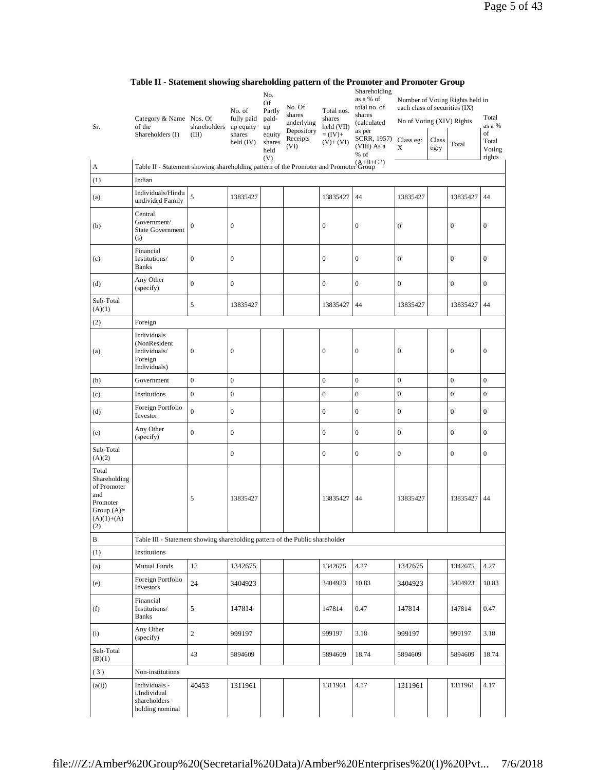|                                                                                                | Category & Name Nos. Of                                                              |                       | No. of<br>fully paid                      | No.<br>Of<br>Partly<br>paid-          | No. Of<br>shares<br>underlying | Total nos.<br>shares                 | Shareholding<br>as a % of<br>total no. of<br>shares<br>(calculated | each class of securities (IX)<br>No of Voting (XIV) Rights |               | Number of Voting Rights held in | Total                                     |
|------------------------------------------------------------------------------------------------|--------------------------------------------------------------------------------------|-----------------------|-------------------------------------------|---------------------------------------|--------------------------------|--------------------------------------|--------------------------------------------------------------------|------------------------------------------------------------|---------------|---------------------------------|-------------------------------------------|
| Sr.                                                                                            | of the<br>Shareholders (I)                                                           | shareholders<br>(III) | up equity<br>shares<br>$\text{held (IV)}$ | up<br>equity<br>shares<br>held<br>(V) | Depository<br>Receipts<br>(VI) | held (VII)<br>$=(IV)+$<br>$(V)+(VI)$ | as per<br>SCRR, 1957)<br>(VIII) As a<br>% of                       | Class eg:<br>$\mathbf X$                                   | Class<br>eg:y | Total                           | as a %<br>of<br>Total<br>Voting<br>rights |
| $\boldsymbol{\mathsf{A}}$                                                                      | Table II - Statement showing shareholding pattern of the Promoter and Promoter Group |                       |                                           |                                       |                                |                                      |                                                                    |                                                            |               |                                 |                                           |
| (1)                                                                                            | Indian                                                                               |                       |                                           |                                       |                                |                                      |                                                                    |                                                            |               |                                 |                                           |
| (a)                                                                                            | Individuals/Hindu<br>undivided Family                                                | 5                     | 13835427                                  |                                       |                                | 13835427                             | 44                                                                 | 13835427                                                   |               | 13835427                        | 44                                        |
| (b)                                                                                            | Central<br>Government/<br><b>State Government</b><br>(s)                             | $\boldsymbol{0}$      | $\boldsymbol{0}$                          |                                       |                                | $\boldsymbol{0}$                     | $\boldsymbol{0}$                                                   | $\boldsymbol{0}$                                           |               | $\boldsymbol{0}$                | $\boldsymbol{0}$                          |
| (c)                                                                                            | Financial<br>Institutions/<br><b>Banks</b>                                           | $\boldsymbol{0}$      | $\boldsymbol{0}$                          |                                       |                                | $\boldsymbol{0}$                     | $\boldsymbol{0}$                                                   | $\mathbf{0}$                                               |               | $\boldsymbol{0}$                | $\mathbf{0}$                              |
| (d)                                                                                            | Any Other<br>(specify)                                                               | $\overline{0}$        | $\mathbf{0}$                              |                                       |                                | $\boldsymbol{0}$                     | $\boldsymbol{0}$                                                   | $\mathbf{0}$                                               |               | $\boldsymbol{0}$                | $\boldsymbol{0}$                          |
| Sub-Total<br>(A)(1)                                                                            |                                                                                      | 5                     | 13835427                                  |                                       |                                | 13835427                             | 44                                                                 | 13835427                                                   |               | 13835427                        | 44                                        |
| (2)                                                                                            | Foreign                                                                              |                       |                                           |                                       |                                |                                      |                                                                    |                                                            |               |                                 |                                           |
| (a)                                                                                            | Individuals<br>(NonResident<br>Individuals/<br>Foreign<br>Individuals)               | $\boldsymbol{0}$      | $\boldsymbol{0}$                          |                                       |                                | $\boldsymbol{0}$                     | $\boldsymbol{0}$                                                   | $\boldsymbol{0}$                                           |               | $\boldsymbol{0}$                | $\boldsymbol{0}$                          |
| (b)                                                                                            | Government                                                                           | $\mathbf 0$           | $\overline{0}$                            |                                       |                                | $\mathbf{0}$                         | $\boldsymbol{0}$                                                   | $\overline{0}$                                             |               | $\boldsymbol{0}$                | $\boldsymbol{0}$                          |
| (c)                                                                                            | Institutions                                                                         | $\boldsymbol{0}$      | $\boldsymbol{0}$                          |                                       |                                | $\boldsymbol{0}$                     | $\boldsymbol{0}$                                                   | $\boldsymbol{0}$                                           |               | $\boldsymbol{0}$                | $\boldsymbol{0}$                          |
| (d)                                                                                            | Foreign Portfolio<br>Investor                                                        | $\overline{0}$        | $\mathbf{0}$                              |                                       |                                | $\boldsymbol{0}$                     | $\boldsymbol{0}$                                                   | $\mathbf{0}$                                               |               | $\boldsymbol{0}$                | $\boldsymbol{0}$                          |
| (e)                                                                                            | Any Other<br>(specify)                                                               | $\overline{0}$        | $\boldsymbol{0}$                          |                                       |                                | $\boldsymbol{0}$                     | $\boldsymbol{0}$                                                   | $\boldsymbol{0}$                                           |               | $\boldsymbol{0}$                | $\boldsymbol{0}$                          |
| Sub-Total<br>(A)(2)                                                                            |                                                                                      |                       | $\boldsymbol{0}$                          |                                       |                                | $\boldsymbol{0}$                     | $\boldsymbol{0}$                                                   | $\boldsymbol{0}$                                           |               | $\boldsymbol{0}$                | $\boldsymbol{0}$                          |
| Total<br>Shareholding<br>of Promoter<br>and<br>Promoter<br>Group $(A)=$<br>$(A)(1)+(A)$<br>(2) |                                                                                      | 5                     | 13835427                                  |                                       |                                | 13835427                             | 44                                                                 | 13835427                                                   |               | 13835427                        | 44                                        |
| В                                                                                              | Table III - Statement showing shareholding pattern of the Public shareholder         |                       |                                           |                                       |                                |                                      |                                                                    |                                                            |               |                                 |                                           |
| (1)                                                                                            | Institutions                                                                         |                       |                                           |                                       |                                |                                      |                                                                    |                                                            |               |                                 |                                           |
| (a)                                                                                            | <b>Mutual Funds</b>                                                                  | 12                    | 1342675                                   |                                       |                                | 1342675                              | 4.27                                                               | 1342675                                                    |               | 1342675                         | 4.27                                      |
| (e)                                                                                            | Foreign Portfolio<br>Investors                                                       | 24                    | 3404923                                   |                                       |                                | 3404923                              | 10.83                                                              | 3404923                                                    |               | 3404923                         | 10.83                                     |
| (f)                                                                                            | Financial<br>Institutions/<br><b>Banks</b>                                           | 5                     | 147814                                    |                                       |                                | 147814                               | 0.47                                                               | 147814                                                     |               | 147814                          | 0.47                                      |
| (i)                                                                                            | Any Other<br>(specify)                                                               | $\sqrt{2}$            | 999197                                    |                                       |                                | 999197                               | 3.18                                                               | 999197                                                     |               | 999197                          | 3.18                                      |
| Sub-Total<br>(B)(1)                                                                            |                                                                                      | 43                    | 5894609                                   |                                       |                                | 5894609                              | 18.74                                                              | 5894609                                                    |               | 5894609                         | 18.74                                     |
| (3)                                                                                            | Non-institutions                                                                     |                       |                                           |                                       |                                |                                      |                                                                    |                                                            |               |                                 |                                           |
| (a(i))                                                                                         | Individuals -<br>i.Individual<br>shareholders<br>holding nominal                     | 40453                 | 1311961                                   |                                       |                                | 1311961                              | 4.17                                                               | 1311961                                                    |               | 1311961                         | 4.17                                      |

**Table II - Statement showing shareholding pattern of the Promoter and Promoter Group**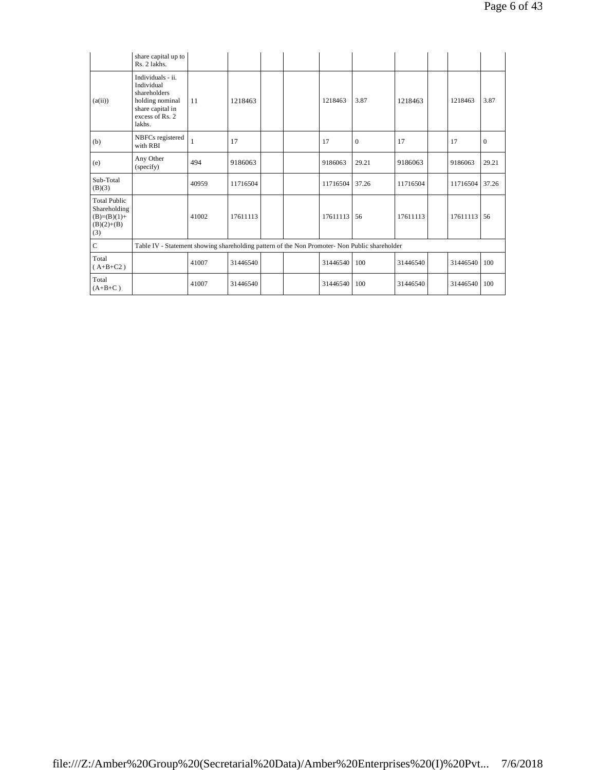|                                                                             | share capital up to<br>Rs. 2 lakhs.                                                                                 |       |          |  |          |                  |          |          |              |
|-----------------------------------------------------------------------------|---------------------------------------------------------------------------------------------------------------------|-------|----------|--|----------|------------------|----------|----------|--------------|
| (a(ii))                                                                     | Individuals - ii.<br>Individual<br>shareholders<br>holding nominal<br>share capital in<br>excess of Rs. 2<br>lakhs. | 11    | 1218463  |  | 1218463  | 3.87             | 1218463  | 1218463  | 3.87         |
| (b)                                                                         | NBFCs registered<br>with RBI                                                                                        | 1     | 17       |  | 17       | $\boldsymbol{0}$ | 17       | 17       | $\mathbf{0}$ |
| (e)                                                                         | Any Other<br>(specify)                                                                                              | 494   | 9186063  |  | 9186063  | 29.21            | 9186063  | 9186063  | 29.21        |
| Sub-Total<br>(B)(3)                                                         |                                                                                                                     | 40959 | 11716504 |  | 11716504 | 37.26            | 11716504 | 11716504 | 37.26        |
| <b>Total Public</b><br>Shareholding<br>$(B)=(B)(1)+$<br>$(B)(2)+(B)$<br>(3) |                                                                                                                     | 41002 | 17611113 |  | 17611113 | 56               | 17611113 | 17611113 | 56           |
| $\overline{C}$                                                              | Table IV - Statement showing shareholding pattern of the Non Promoter- Non Public shareholder                       |       |          |  |          |                  |          |          |              |
| Total<br>$(A+B+C2)$                                                         |                                                                                                                     | 41007 | 31446540 |  | 31446540 | 100              | 31446540 | 31446540 | 100          |
| Total<br>$(A+B+C)$                                                          |                                                                                                                     | 41007 | 31446540 |  | 31446540 | 100              | 31446540 | 31446540 | 100          |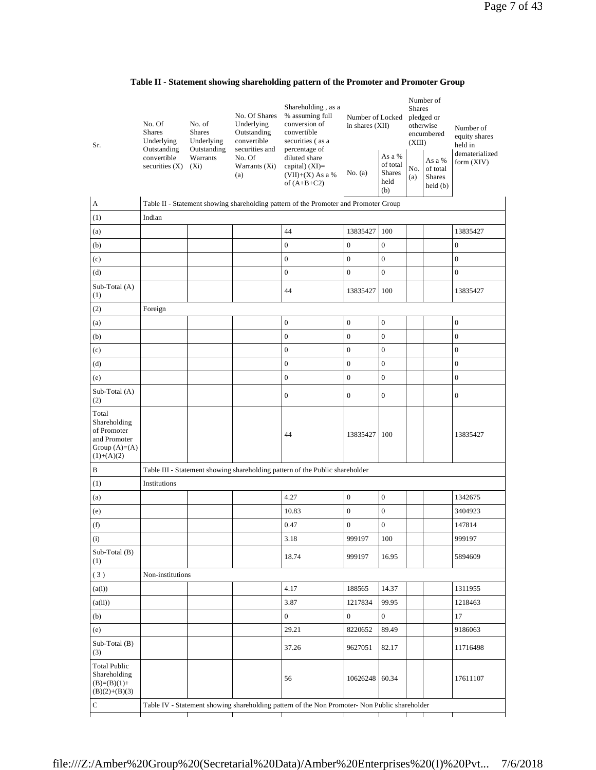|  |  |  |  | Table II - Statement showing shareholding pattern of the Promoter and Promoter Group |  |
|--|--|--|--|--------------------------------------------------------------------------------------|--|
|--|--|--|--|--------------------------------------------------------------------------------------|--|

| Sr.                                                                                     | No. Of<br><b>Shares</b><br>Underlying<br>Outstanding<br>convertible<br>securities $(X)$ | No. of<br><b>Shares</b><br>Underlying<br>Outstanding<br>Warrants<br>$(X_i)$ | No. Of Shares<br>Underlying<br>Outstanding<br>convertible<br>securities and<br>No. Of<br>Warrants (Xi)<br>(a) | Shareholding, as a<br>% assuming full<br>conversion of<br>convertible<br>securities (as a<br>percentage of<br>diluted share<br>capital) $(XI)=$<br>$(VII)+(X)$ As a %<br>of $(A+B+C2)$ | Number of Locked<br>in shares (XII)<br>No. (a) | As a %<br>of total<br><b>Shares</b><br>held<br>(b) | <b>Shares</b><br>(XIII)<br>No.<br>(a) | Number of<br>pledged or<br>otherwise<br>encumbered<br>As a %<br>of total<br><b>Shares</b><br>held(b) | Number of<br>equity shares<br>held in<br>dematerialized<br>form $(XIV)$ |
|-----------------------------------------------------------------------------------------|-----------------------------------------------------------------------------------------|-----------------------------------------------------------------------------|---------------------------------------------------------------------------------------------------------------|----------------------------------------------------------------------------------------------------------------------------------------------------------------------------------------|------------------------------------------------|----------------------------------------------------|---------------------------------------|------------------------------------------------------------------------------------------------------|-------------------------------------------------------------------------|
| A                                                                                       |                                                                                         |                                                                             |                                                                                                               | Table II - Statement showing shareholding pattern of the Promoter and Promoter Group                                                                                                   |                                                |                                                    |                                       |                                                                                                      |                                                                         |
| (1)                                                                                     | Indian                                                                                  |                                                                             |                                                                                                               |                                                                                                                                                                                        |                                                |                                                    |                                       |                                                                                                      |                                                                         |
| (a)                                                                                     |                                                                                         |                                                                             |                                                                                                               | 44                                                                                                                                                                                     | 13835427                                       | 100                                                |                                       |                                                                                                      | 13835427                                                                |
| (b)                                                                                     |                                                                                         |                                                                             |                                                                                                               | $\boldsymbol{0}$                                                                                                                                                                       | $\boldsymbol{0}$                               | $\boldsymbol{0}$                                   |                                       |                                                                                                      | $\boldsymbol{0}$                                                        |
| (c)                                                                                     |                                                                                         |                                                                             |                                                                                                               | $\boldsymbol{0}$                                                                                                                                                                       | $\boldsymbol{0}$                               | $\boldsymbol{0}$                                   |                                       |                                                                                                      | $\boldsymbol{0}$                                                        |
| (d)                                                                                     |                                                                                         |                                                                             |                                                                                                               | $\boldsymbol{0}$                                                                                                                                                                       | $\boldsymbol{0}$                               | $\boldsymbol{0}$                                   |                                       |                                                                                                      | $\boldsymbol{0}$                                                        |
| Sub-Total (A)<br>(1)                                                                    |                                                                                         |                                                                             |                                                                                                               | 44                                                                                                                                                                                     | 13835427                                       | 100                                                |                                       |                                                                                                      | 13835427                                                                |
| (2)                                                                                     | Foreign                                                                                 |                                                                             |                                                                                                               |                                                                                                                                                                                        |                                                |                                                    |                                       |                                                                                                      |                                                                         |
| (a)                                                                                     |                                                                                         |                                                                             |                                                                                                               | $\boldsymbol{0}$                                                                                                                                                                       | $\boldsymbol{0}$                               | $\boldsymbol{0}$                                   |                                       |                                                                                                      | $\boldsymbol{0}$                                                        |
| (b)                                                                                     |                                                                                         |                                                                             |                                                                                                               | $\boldsymbol{0}$                                                                                                                                                                       | $\boldsymbol{0}$                               | $\boldsymbol{0}$                                   |                                       |                                                                                                      | $\mathbf{0}$                                                            |
| (c)                                                                                     |                                                                                         |                                                                             |                                                                                                               | $\boldsymbol{0}$                                                                                                                                                                       | $\mathbf{0}$                                   | $\boldsymbol{0}$                                   |                                       |                                                                                                      | $\boldsymbol{0}$                                                        |
| (d)                                                                                     |                                                                                         |                                                                             |                                                                                                               | $\boldsymbol{0}$                                                                                                                                                                       | $\mathbf{0}$                                   | $\boldsymbol{0}$                                   |                                       |                                                                                                      | $\boldsymbol{0}$                                                        |
| (e)                                                                                     |                                                                                         |                                                                             |                                                                                                               | $\boldsymbol{0}$                                                                                                                                                                       | $\boldsymbol{0}$                               | $\boldsymbol{0}$                                   |                                       |                                                                                                      | $\boldsymbol{0}$                                                        |
| Sub-Total (A)<br>(2)                                                                    |                                                                                         |                                                                             |                                                                                                               | $\boldsymbol{0}$                                                                                                                                                                       | $\boldsymbol{0}$                               | $\boldsymbol{0}$                                   |                                       |                                                                                                      | $\boldsymbol{0}$                                                        |
| Total<br>Shareholding<br>of Promoter<br>and Promoter<br>Group $(A)=(A)$<br>$(1)+(A)(2)$ |                                                                                         |                                                                             |                                                                                                               | 44                                                                                                                                                                                     | 13835427                                       | 100                                                |                                       |                                                                                                      | 13835427                                                                |
| B                                                                                       |                                                                                         |                                                                             |                                                                                                               | Table III - Statement showing shareholding pattern of the Public shareholder                                                                                                           |                                                |                                                    |                                       |                                                                                                      |                                                                         |
| (1)                                                                                     | Institutions                                                                            |                                                                             |                                                                                                               |                                                                                                                                                                                        |                                                |                                                    |                                       |                                                                                                      |                                                                         |
| (a)                                                                                     |                                                                                         |                                                                             |                                                                                                               | 4.27                                                                                                                                                                                   | $\boldsymbol{0}$                               | $\boldsymbol{0}$                                   |                                       |                                                                                                      | 1342675                                                                 |
| (e)                                                                                     |                                                                                         |                                                                             |                                                                                                               | 10.83                                                                                                                                                                                  | $\mathbf{0}$                                   | $\boldsymbol{0}$                                   |                                       |                                                                                                      | 3404923                                                                 |
| (f)                                                                                     |                                                                                         |                                                                             |                                                                                                               | 0.47                                                                                                                                                                                   | $\boldsymbol{0}$                               | $\boldsymbol{0}$                                   |                                       |                                                                                                      | 147814                                                                  |
| (i)                                                                                     |                                                                                         |                                                                             |                                                                                                               | 3.18                                                                                                                                                                                   | 999197                                         | 100                                                |                                       |                                                                                                      | 999197                                                                  |
| Sub-Total (B)<br>(1)                                                                    |                                                                                         |                                                                             |                                                                                                               | 18.74                                                                                                                                                                                  | 999197                                         | 16.95                                              |                                       |                                                                                                      | 5894609                                                                 |
| (3)                                                                                     | Non-institutions                                                                        |                                                                             |                                                                                                               |                                                                                                                                                                                        |                                                |                                                    |                                       |                                                                                                      |                                                                         |
| (a(i))                                                                                  |                                                                                         |                                                                             |                                                                                                               | 4.17                                                                                                                                                                                   | 188565                                         | 14.37                                              |                                       |                                                                                                      | 1311955                                                                 |
| (a(ii))                                                                                 |                                                                                         |                                                                             |                                                                                                               | 3.87                                                                                                                                                                                   | 1217834                                        | 99.95                                              |                                       |                                                                                                      | 1218463                                                                 |
| (b)                                                                                     |                                                                                         |                                                                             |                                                                                                               | $\overline{0}$                                                                                                                                                                         | $\mathbf{0}$                                   | $\overline{0}$                                     |                                       |                                                                                                      | 17                                                                      |
| (e)                                                                                     |                                                                                         |                                                                             |                                                                                                               | 29.21                                                                                                                                                                                  | 8220652                                        | 89.49                                              |                                       |                                                                                                      | 9186063                                                                 |
| $Sub-Total(B)$<br>(3)                                                                   |                                                                                         |                                                                             |                                                                                                               | 37.26                                                                                                                                                                                  | 9627051                                        | 82.17                                              |                                       |                                                                                                      | 11716498                                                                |
| <b>Total Public</b><br>Shareholding<br>$(B)=(B)(1)+$<br>$(B)(2)+(B)(3)$                 |                                                                                         |                                                                             |                                                                                                               | 56                                                                                                                                                                                     | 10626248                                       | 60.34                                              |                                       |                                                                                                      | 17611107                                                                |
| C                                                                                       |                                                                                         |                                                                             |                                                                                                               | Table IV - Statement showing shareholding pattern of the Non Promoter- Non Public shareholder                                                                                          |                                                |                                                    |                                       |                                                                                                      |                                                                         |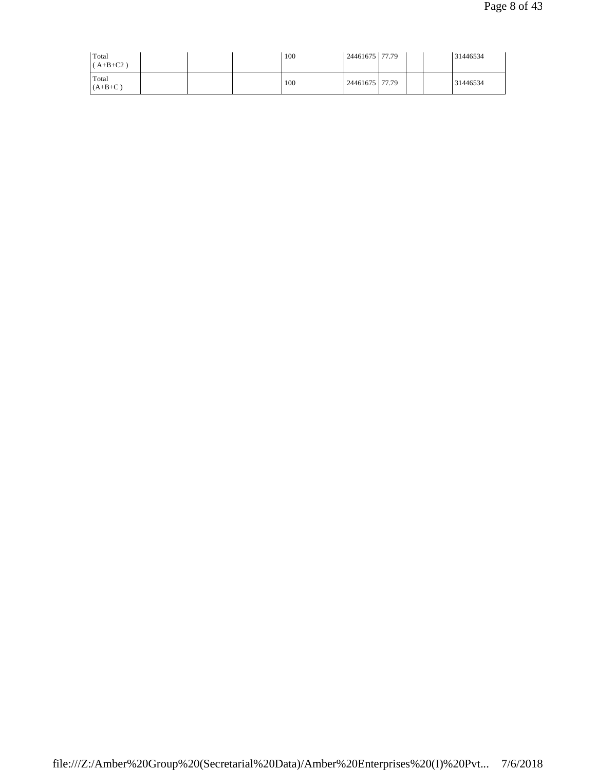| Total<br>$(A+B+C2)$ |  | 100 | 24461675 77.79   |  | 31446534 |
|---------------------|--|-----|------------------|--|----------|
| Total<br>$(A+B+C)$  |  | 100 | 24461675   77.79 |  | 31446534 |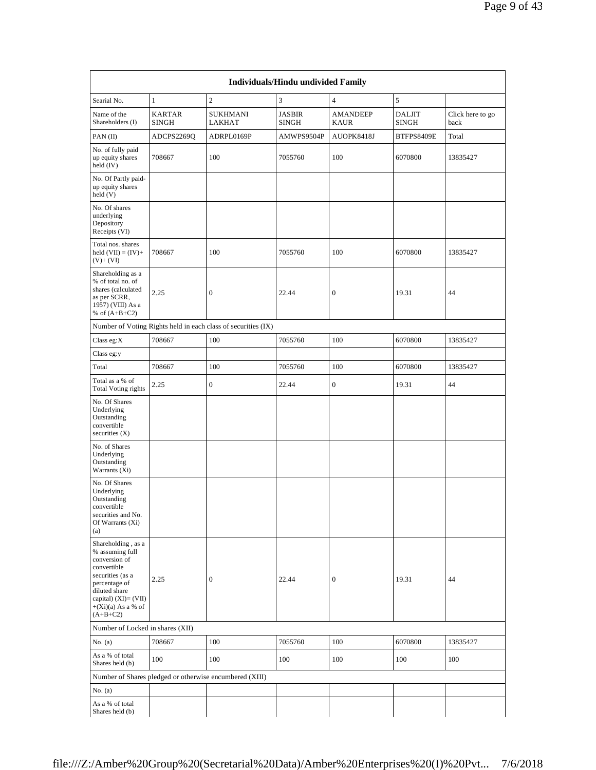|                                                                                                                                                                                           |                        |                                                               | Individuals/Hindu undivided Family |                                |                               |                          |
|-------------------------------------------------------------------------------------------------------------------------------------------------------------------------------------------|------------------------|---------------------------------------------------------------|------------------------------------|--------------------------------|-------------------------------|--------------------------|
| Searial No.                                                                                                                                                                               | $\mathbf{1}$           | $\sqrt{2}$                                                    | 3                                  | $\overline{4}$                 | 5                             |                          |
| Name of the<br>Shareholders (I)                                                                                                                                                           | KARTAR<br><b>SINGH</b> | <b>SUKHMANI</b><br>LAKHAT                                     | <b>JASBIR</b><br><b>SINGH</b>      | <b>AMANDEEP</b><br><b>KAUR</b> | <b>DALJIT</b><br><b>SINGH</b> | Click here to go<br>back |
| PAN(II)                                                                                                                                                                                   | ADCPS2269O             | ADRPL0169P                                                    | AMWPS9504P                         | AUOPK8418J                     | BTFPS8409E                    | Total                    |
| No. of fully paid<br>up equity shares<br>held (IV)                                                                                                                                        | 708667                 | 100                                                           | 7055760                            | 100                            | 6070800                       | 13835427                 |
| No. Of Partly paid-<br>up equity shares<br>held(V)                                                                                                                                        |                        |                                                               |                                    |                                |                               |                          |
| No. Of shares<br>underlying<br>Depository<br>Receipts (VI)                                                                                                                                |                        |                                                               |                                    |                                |                               |                          |
| Total nos. shares<br>held $(VII) = (IV) +$<br>$(V)$ + $(VI)$                                                                                                                              | 708667                 | 100                                                           | 7055760                            | 100                            | 6070800                       | 13835427                 |
| Shareholding as a<br>% of total no. of<br>shares (calculated<br>as per SCRR,<br>1957) (VIII) As a<br>% of $(A+B+C2)$                                                                      | 2.25                   | $\mathbf{0}$                                                  | 22.44                              | $\mathbf{0}$                   | 19.31                         | 44                       |
|                                                                                                                                                                                           |                        | Number of Voting Rights held in each class of securities (IX) |                                    |                                |                               |                          |
| Class eg:X                                                                                                                                                                                | 708667                 | 100                                                           | 7055760                            | 100                            | 6070800                       | 13835427                 |
| Class eg:y                                                                                                                                                                                |                        |                                                               |                                    |                                |                               |                          |
| Total                                                                                                                                                                                     | 708667                 | 100                                                           | 7055760                            | 100                            | 6070800                       | 13835427                 |
| Total as a % of<br><b>Total Voting rights</b>                                                                                                                                             | 2.25                   | $\mathbf{0}$                                                  | 22.44                              | $\boldsymbol{0}$               | 19.31                         | 44                       |
| No. Of Shares<br>Underlying<br>Outstanding<br>convertible<br>securities $(X)$                                                                                                             |                        |                                                               |                                    |                                |                               |                          |
| No. of Shares<br>Underlying<br>Outstanding<br>Warrants (Xi)                                                                                                                               |                        |                                                               |                                    |                                |                               |                          |
| No. Of Shares<br>Underlying<br>Outstanding<br>convertible<br>securities and No.<br>Of Warrants (Xi)<br>(a)                                                                                |                        |                                                               |                                    |                                |                               |                          |
| Shareholding, as a<br>% assuming full<br>conversion of<br>convertible<br>securities (as a<br>percentage of<br>diluted share<br>capital) (XI)= (VII)<br>$+(Xi)(a)$ As a % of<br>$(A+B+C2)$ | 2.25                   | $\boldsymbol{0}$                                              | 22.44                              | $\boldsymbol{0}$               | 19.31                         | 44                       |
| Number of Locked in shares (XII)                                                                                                                                                          |                        |                                                               |                                    |                                |                               |                          |
| No. (a)                                                                                                                                                                                   | 708667                 | 100                                                           | 7055760                            | 100                            | 6070800                       | 13835427                 |
| As a % of total<br>Shares held (b)                                                                                                                                                        | 100                    | 100                                                           | 100                                | 100                            | 100                           | 100                      |
|                                                                                                                                                                                           |                        | Number of Shares pledged or otherwise encumbered (XIII)       |                                    |                                |                               |                          |
| No. $(a)$                                                                                                                                                                                 |                        |                                                               |                                    |                                |                               |                          |
| As a % of total<br>Shares held (b)                                                                                                                                                        |                        |                                                               |                                    |                                |                               |                          |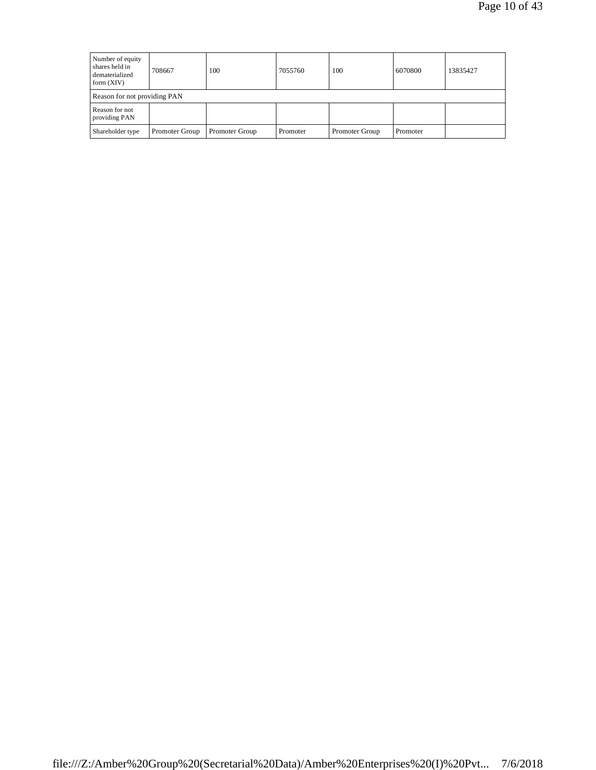| Number of equity<br>shares held in<br>dematerialized<br>form $(XIV)$ | 708667         | 100            | 7055760  | 100            | 6070800  | 13835427 |
|----------------------------------------------------------------------|----------------|----------------|----------|----------------|----------|----------|
| Reason for not providing PAN                                         |                |                |          |                |          |          |
| Reason for not<br>providing PAN                                      |                |                |          |                |          |          |
| Shareholder type                                                     | Promoter Group | Promoter Group | Promoter | Promoter Group | Promoter |          |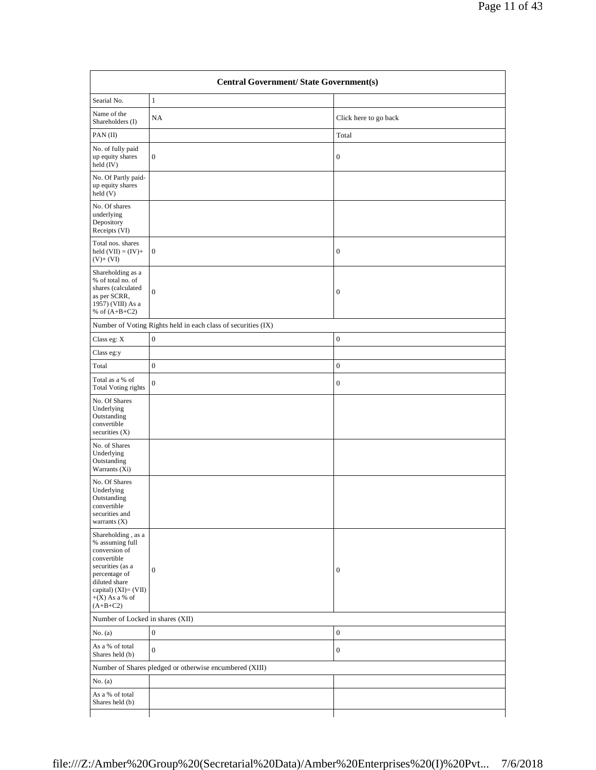| Searial No.                                                                                                                                                                               | $\mathbf{1}$                                                  |                       |
|-------------------------------------------------------------------------------------------------------------------------------------------------------------------------------------------|---------------------------------------------------------------|-----------------------|
| Name of the<br>Shareholders (I)                                                                                                                                                           | NA                                                            | Click here to go back |
| PAN(II)                                                                                                                                                                                   |                                                               | Total                 |
| No. of fully paid<br>up equity shares<br>held (IV)                                                                                                                                        | $\boldsymbol{0}$                                              | $\boldsymbol{0}$      |
| No. Of Partly paid-<br>up equity shares<br>held (V)                                                                                                                                       |                                                               |                       |
| No. Of shares<br>underlying<br>Depository<br>Receipts (VI)                                                                                                                                |                                                               |                       |
| Total nos. shares<br>held $(VII) = (IV) +$<br>$(V)+(VI)$                                                                                                                                  | $\mathbf{0}$                                                  | $\mathbf{0}$          |
| Shareholding as a<br>% of total no. of<br>shares (calculated<br>as per SCRR,<br>1957) (VIII) As a<br>% of $(A+B+C2)$                                                                      | $\boldsymbol{0}$                                              | $\mathbf{0}$          |
|                                                                                                                                                                                           | Number of Voting Rights held in each class of securities (IX) |                       |
| Class eg: $\mathbf X$                                                                                                                                                                     | $\boldsymbol{0}$                                              | $\mathbf{0}$          |
| Class eg:y                                                                                                                                                                                |                                                               |                       |
| Total                                                                                                                                                                                     | $\boldsymbol{0}$                                              | $\mathbf{0}$          |
| Total as a % of<br><b>Total Voting rights</b>                                                                                                                                             | $\mathbf{0}$                                                  | $\mathbf{0}$          |
| No. Of Shares<br>Underlying<br>Outstanding<br>convertible<br>securities $(X)$                                                                                                             |                                                               |                       |
| No. of Shares<br>Underlying<br>Outstanding<br>Warrants (Xi)                                                                                                                               |                                                               |                       |
| No. Of Shares<br>Underlying<br>Outstanding<br>convertible<br>securities and<br>warrants $(X)$                                                                                             |                                                               |                       |
| Shareholding , as a<br>% assuming full<br>conversion of<br>convertible<br>securities (as a<br>percentage of<br>diluted share<br>capital) $(XI) = (VII)$<br>$+(X)$ As a % of<br>$(A+B+C2)$ | $\overline{0}$                                                | $\mathbf{0}$          |
| Number of Locked in shares (XII)                                                                                                                                                          |                                                               |                       |
| No. $(a)$                                                                                                                                                                                 | $\boldsymbol{0}$                                              | $\mathbf{0}$          |
| As a % of total<br>Shares held (b)                                                                                                                                                        | $\boldsymbol{0}$                                              | $\mathbf{0}$          |
|                                                                                                                                                                                           | Number of Shares pledged or otherwise encumbered (XIII)       |                       |
| No. $(a)$                                                                                                                                                                                 |                                                               |                       |
| As a % of total<br>Shares held (b)                                                                                                                                                        |                                                               |                       |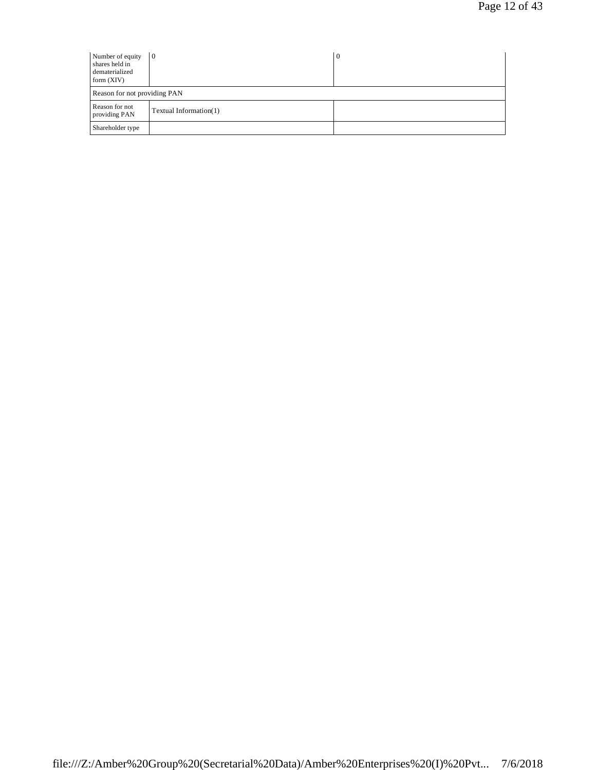| Number of equity<br>shares held in<br>dematerialized<br>form $(XIV)$ | $\overline{0}$         | 0 |
|----------------------------------------------------------------------|------------------------|---|
| Reason for not providing PAN                                         |                        |   |
| Reason for not<br>providing PAN                                      | Textual Information(1) |   |
| Shareholder type                                                     |                        |   |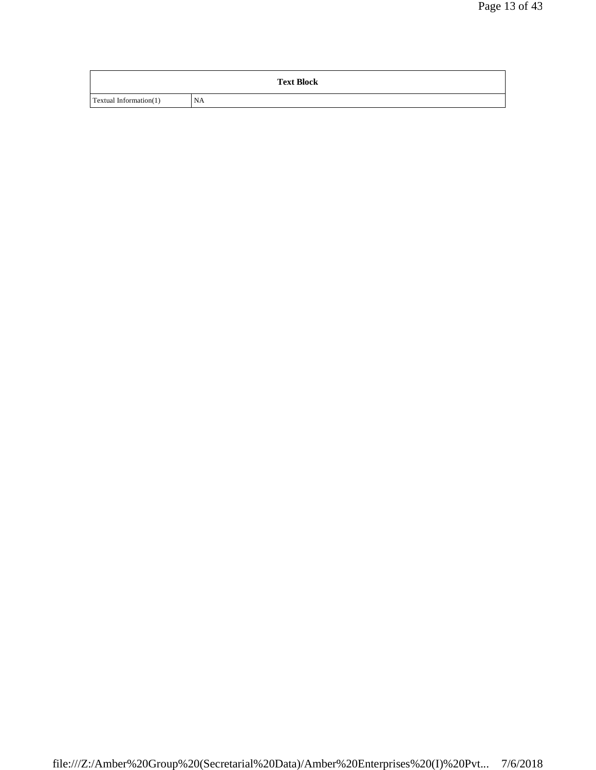|                        | <b>Text Block</b> |
|------------------------|-------------------|
| Textual Information(1) | <b>NA</b>         |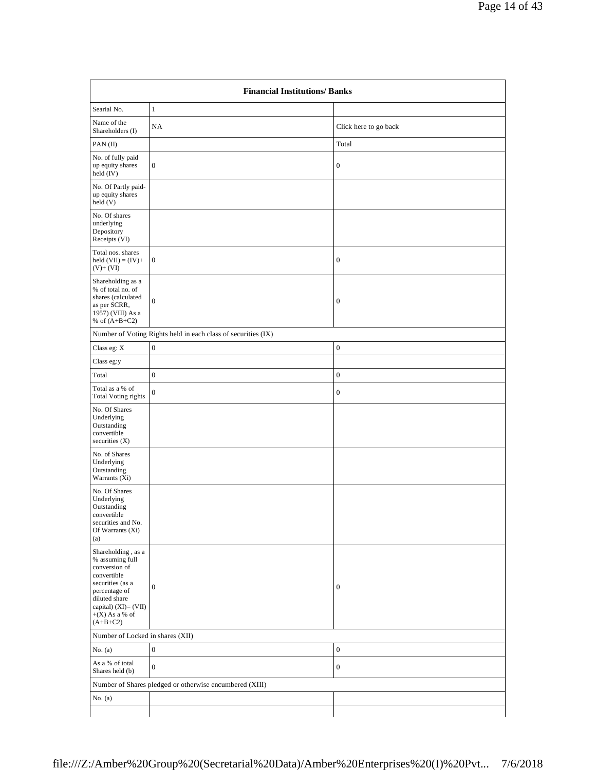| <b>Financial Institutions/Banks</b>                                                                                                                                                       |                                                               |                       |
|-------------------------------------------------------------------------------------------------------------------------------------------------------------------------------------------|---------------------------------------------------------------|-----------------------|
| Searial No.                                                                                                                                                                               | $\mathbf{1}$                                                  |                       |
| Name of the<br>Shareholders (I)                                                                                                                                                           | NA                                                            | Click here to go back |
| PAN(II)                                                                                                                                                                                   |                                                               | Total                 |
| No. of fully paid<br>up equity shares<br>held (IV)                                                                                                                                        | $\mathbf{0}$                                                  | $\boldsymbol{0}$      |
| No. Of Partly paid-<br>up equity shares<br>held(V)                                                                                                                                        |                                                               |                       |
| No. Of shares<br>underlying<br>Depository<br>Receipts (VI)                                                                                                                                |                                                               |                       |
| Total nos. shares<br>held $(VII) = (IV) +$<br>$(V)+(VI)$                                                                                                                                  | $\mathbf{0}$                                                  | $\boldsymbol{0}$      |
| Shareholding as a<br>% of total no. of<br>shares (calculated<br>as per SCRR,<br>1957) (VIII) As a<br>% of $(A+B+C2)$                                                                      | $\boldsymbol{0}$                                              | $\boldsymbol{0}$      |
|                                                                                                                                                                                           | Number of Voting Rights held in each class of securities (IX) |                       |
| Class eg: X                                                                                                                                                                               | $\boldsymbol{0}$                                              | $\boldsymbol{0}$      |
| Class eg:y                                                                                                                                                                                |                                                               |                       |
| Total                                                                                                                                                                                     | $\boldsymbol{0}$                                              | $\boldsymbol{0}$      |
| Total as a % of<br><b>Total Voting rights</b>                                                                                                                                             | $\mathbf{0}$                                                  | $\boldsymbol{0}$      |
| No. Of Shares<br>Underlying<br>Outstanding<br>convertible<br>securities $(X)$                                                                                                             |                                                               |                       |
| No. of Shares<br>Underlying<br>Outstanding<br>Warrants $(X_i)$                                                                                                                            |                                                               |                       |
| No. Of Shares<br>Underlying<br>Outstanding<br>convertible<br>securities and No.<br>Of Warrants (Xi)<br>(a)                                                                                |                                                               |                       |
| Shareholding, as a<br>% assuming full<br>conversion of<br>convertible<br>securities (as a<br>percentage of<br>diluted share<br>capital) (XI)= (VII)<br>$+(X)$ As a % of<br>$(A + B + C2)$ | $\boldsymbol{0}$                                              | $\boldsymbol{0}$      |
|                                                                                                                                                                                           | Number of Locked in shares (XII)                              |                       |
| No. $(a)$                                                                                                                                                                                 | $\boldsymbol{0}$                                              | $\boldsymbol{0}$      |
| As a % of total<br>Shares held (b)                                                                                                                                                        | $\boldsymbol{0}$                                              | $\boldsymbol{0}$      |
| Number of Shares pledged or otherwise encumbered (XIII)                                                                                                                                   |                                                               |                       |
| No. (a)                                                                                                                                                                                   |                                                               |                       |
|                                                                                                                                                                                           |                                                               |                       |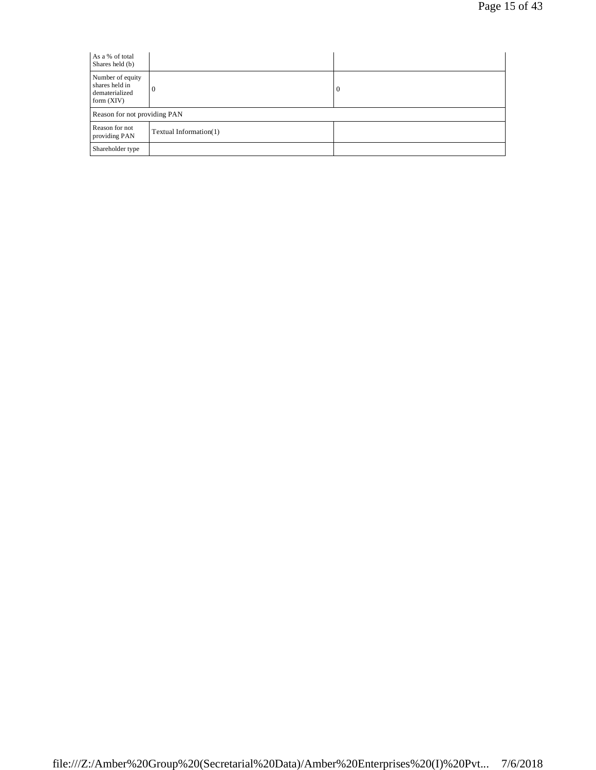| As a % of total<br>Shares held (b)                                   |                              |   |  |
|----------------------------------------------------------------------|------------------------------|---|--|
| Number of equity<br>shares held in<br>dematerialized<br>form $(XIV)$ | $\theta$                     | 0 |  |
|                                                                      | Reason for not providing PAN |   |  |
| Reason for not<br>providing PAN                                      | Textual Information(1)       |   |  |
| Shareholder type                                                     |                              |   |  |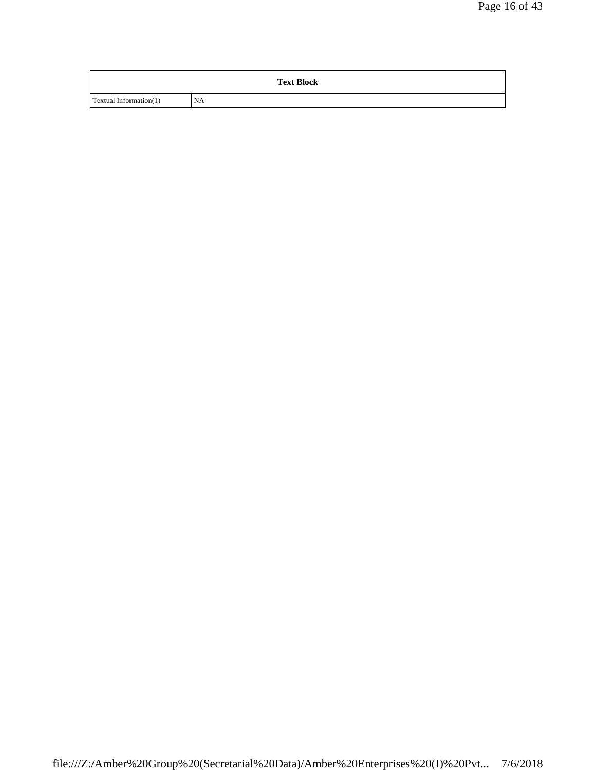|                        | <b>Text Block</b> |
|------------------------|-------------------|
| Textual Information(1) | <b>NA</b>         |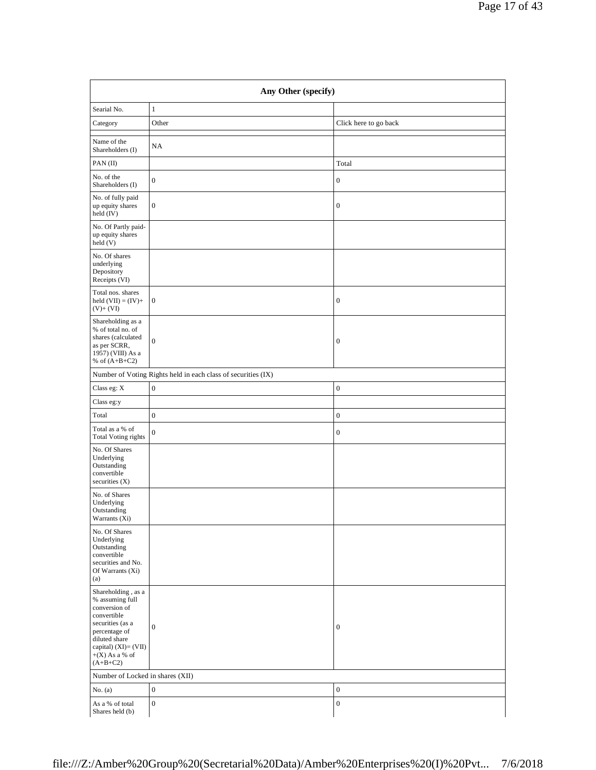| Any Other (specify)                                                                                                                                                                    |                                                               |                       |  |
|----------------------------------------------------------------------------------------------------------------------------------------------------------------------------------------|---------------------------------------------------------------|-----------------------|--|
| Searial No.                                                                                                                                                                            | $\mathbf{1}$                                                  |                       |  |
| Category                                                                                                                                                                               | Other                                                         | Click here to go back |  |
| Name of the<br>Shareholders (I)                                                                                                                                                        | NA                                                            |                       |  |
| PAN(II)                                                                                                                                                                                |                                                               | Total                 |  |
| No. of the<br>Shareholders (I)                                                                                                                                                         | $\boldsymbol{0}$                                              | $\boldsymbol{0}$      |  |
| No. of fully paid<br>up equity shares<br>held (IV)                                                                                                                                     | $\boldsymbol{0}$                                              | $\boldsymbol{0}$      |  |
| No. Of Partly paid-<br>up equity shares<br>held (V)                                                                                                                                    |                                                               |                       |  |
| No. Of shares<br>underlying<br>Depository<br>Receipts (VI)                                                                                                                             |                                                               |                       |  |
| Total nos. shares<br>held $(VII) = (IV) +$<br>$(V)+(VI)$                                                                                                                               | $\boldsymbol{0}$                                              | $\boldsymbol{0}$      |  |
| Shareholding as a<br>% of total no. of<br>shares (calculated<br>as per SCRR,<br>1957) (VIII) As a<br>% of $(A+B+C2)$                                                                   | $\boldsymbol{0}$                                              | $\boldsymbol{0}$      |  |
|                                                                                                                                                                                        | Number of Voting Rights held in each class of securities (IX) |                       |  |
| Class eg: X                                                                                                                                                                            | $\boldsymbol{0}$                                              | $\boldsymbol{0}$      |  |
| Class eg:y                                                                                                                                                                             |                                                               |                       |  |
| Total                                                                                                                                                                                  | $\boldsymbol{0}$                                              | $\boldsymbol{0}$      |  |
| Total as a % of<br><b>Total Voting rights</b>                                                                                                                                          | $\boldsymbol{0}$                                              | $\boldsymbol{0}$      |  |
| No. Of Shares<br>Underlying<br>Outstanding<br>convertible<br>securities (X)                                                                                                            |                                                               |                       |  |
| No. of Shares<br>Underlying<br>Outstanding<br>Warrants (Xi)                                                                                                                            |                                                               |                       |  |
| No. Of Shares<br>Underlying<br>Outstanding<br>convertible<br>securities and No.<br>Of Warrants (Xi)<br>(a)                                                                             |                                                               |                       |  |
| Shareholding , as a<br>% assuming full<br>conversion of<br>convertible<br>securities (as a<br>percentage of<br>diluted share<br>capital) (XI)= (VII)<br>$+(X)$ As a % of<br>$(A+B+C2)$ | $\boldsymbol{0}$                                              | $\boldsymbol{0}$      |  |

As a % of total Shares held (b)

Number of Locked in shares (XII)

No. (a)  $\begin{array}{c|c} \hline \end{array}$  0

 $\begin{array}{c|c} 0 \end{array}$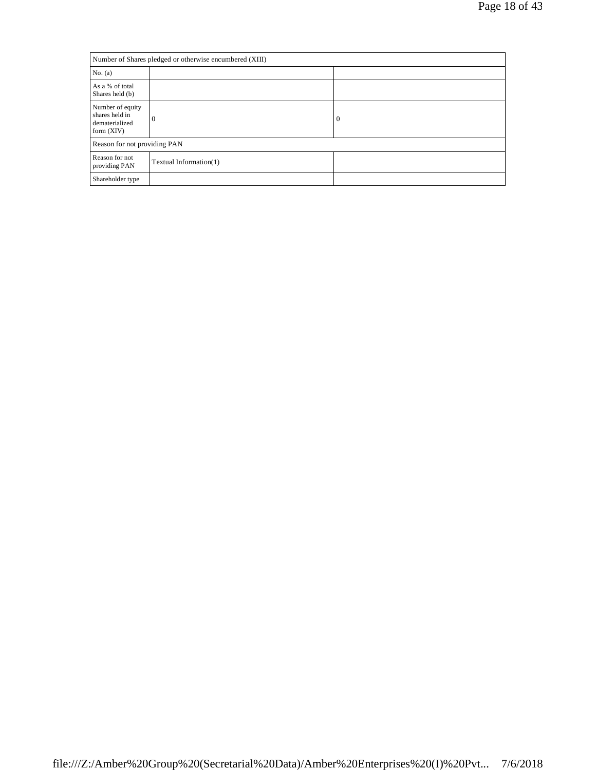| Number of Shares pledged or otherwise encumbered (XIII)              |                        |          |
|----------------------------------------------------------------------|------------------------|----------|
| No. (a)                                                              |                        |          |
| As a % of total<br>Shares held (b)                                   |                        |          |
| Number of equity<br>shares held in<br>dematerialized<br>form $(XIV)$ | $\Omega$               | $\bf{0}$ |
| Reason for not providing PAN                                         |                        |          |
| Reason for not<br>providing PAN                                      | Textual Information(1) |          |
| Shareholder type                                                     |                        |          |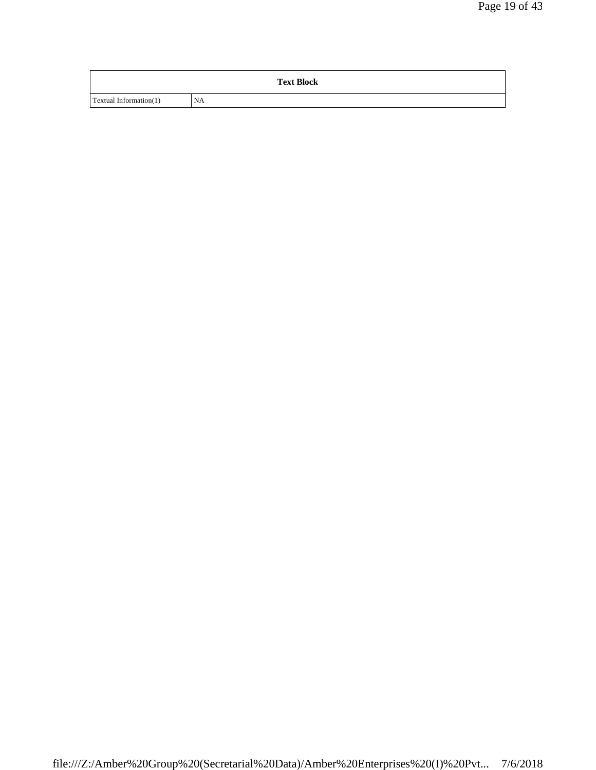|                        | <b>Text Block</b> |
|------------------------|-------------------|
| Textual Information(1) | <b>NA</b>         |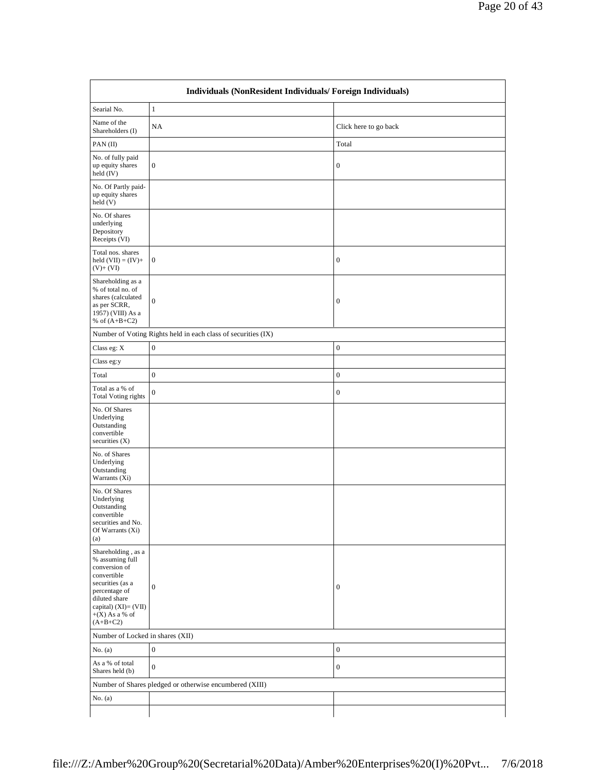| Name of the<br>NA<br>Click here to go back<br>Shareholders (I)<br>Total<br>PAN(II)<br>No. of fully paid<br>up equity shares<br>$\mathbf{0}$<br>$\boldsymbol{0}$<br>held (IV)<br>No. Of Partly paid-<br>up equity shares<br>held(V)<br>No. Of shares<br>underlying<br>Depository<br>Receipts (VI)<br>Total nos. shares<br>$\mathbf{0}$<br>held $(VII) = (IV) +$<br>$\boldsymbol{0}$<br>$(V)+(VI)$<br>Shareholding as a<br>% of total no. of<br>shares (calculated<br>$\overline{0}$<br>$\boldsymbol{0}$<br>as per SCRR,<br>1957) (VIII) As a<br>% of $(A+B+C2)$<br>Number of Voting Rights held in each class of securities (IX)<br>Class eg: $\mathbf X$<br>$\boldsymbol{0}$<br>$\boldsymbol{0}$<br>Class eg:y<br>$\boldsymbol{0}$<br>$\boldsymbol{0}$<br>Total<br>Total as a % of<br>$\mathbf{0}$<br>$\boldsymbol{0}$<br><b>Total Voting rights</b><br>No. Of Shares<br>Underlying<br>Outstanding<br>convertible<br>securities (X)<br>No. of Shares<br>Underlying<br>Outstanding<br>Warrants $(X_i)$<br>No. Of Shares<br>Underlying<br>Outstanding<br>convertible<br>securities and No.<br>Of Warrants (Xi)<br>(a)<br>Shareholding , as a<br>% assuming full<br>conversion of<br>convertible<br>securities (as a<br>$\mathbf{0}$<br>$\boldsymbol{0}$<br>percentage of<br>diluted share<br>capital) (XI)= (VII)<br>$+(X)$ As a % of<br>$(A+B+C2)$<br>Number of Locked in shares (XII)<br>$\mathbf{0}$<br>$\boldsymbol{0}$<br>No. (a)<br>As a % of total<br>$\mathbf{0}$<br>$\boldsymbol{0}$<br>Shares held (b) | Searial No. | $\,1\,$ |  |
|----------------------------------------------------------------------------------------------------------------------------------------------------------------------------------------------------------------------------------------------------------------------------------------------------------------------------------------------------------------------------------------------------------------------------------------------------------------------------------------------------------------------------------------------------------------------------------------------------------------------------------------------------------------------------------------------------------------------------------------------------------------------------------------------------------------------------------------------------------------------------------------------------------------------------------------------------------------------------------------------------------------------------------------------------------------------------------------------------------------------------------------------------------------------------------------------------------------------------------------------------------------------------------------------------------------------------------------------------------------------------------------------------------------------------------------------------------------------------------------------------------------|-------------|---------|--|
|                                                                                                                                                                                                                                                                                                                                                                                                                                                                                                                                                                                                                                                                                                                                                                                                                                                                                                                                                                                                                                                                                                                                                                                                                                                                                                                                                                                                                                                                                                                |             |         |  |
|                                                                                                                                                                                                                                                                                                                                                                                                                                                                                                                                                                                                                                                                                                                                                                                                                                                                                                                                                                                                                                                                                                                                                                                                                                                                                                                                                                                                                                                                                                                |             |         |  |
|                                                                                                                                                                                                                                                                                                                                                                                                                                                                                                                                                                                                                                                                                                                                                                                                                                                                                                                                                                                                                                                                                                                                                                                                                                                                                                                                                                                                                                                                                                                |             |         |  |
|                                                                                                                                                                                                                                                                                                                                                                                                                                                                                                                                                                                                                                                                                                                                                                                                                                                                                                                                                                                                                                                                                                                                                                                                                                                                                                                                                                                                                                                                                                                |             |         |  |
|                                                                                                                                                                                                                                                                                                                                                                                                                                                                                                                                                                                                                                                                                                                                                                                                                                                                                                                                                                                                                                                                                                                                                                                                                                                                                                                                                                                                                                                                                                                |             |         |  |
|                                                                                                                                                                                                                                                                                                                                                                                                                                                                                                                                                                                                                                                                                                                                                                                                                                                                                                                                                                                                                                                                                                                                                                                                                                                                                                                                                                                                                                                                                                                |             |         |  |
|                                                                                                                                                                                                                                                                                                                                                                                                                                                                                                                                                                                                                                                                                                                                                                                                                                                                                                                                                                                                                                                                                                                                                                                                                                                                                                                                                                                                                                                                                                                |             |         |  |
|                                                                                                                                                                                                                                                                                                                                                                                                                                                                                                                                                                                                                                                                                                                                                                                                                                                                                                                                                                                                                                                                                                                                                                                                                                                                                                                                                                                                                                                                                                                |             |         |  |
|                                                                                                                                                                                                                                                                                                                                                                                                                                                                                                                                                                                                                                                                                                                                                                                                                                                                                                                                                                                                                                                                                                                                                                                                                                                                                                                                                                                                                                                                                                                |             |         |  |
|                                                                                                                                                                                                                                                                                                                                                                                                                                                                                                                                                                                                                                                                                                                                                                                                                                                                                                                                                                                                                                                                                                                                                                                                                                                                                                                                                                                                                                                                                                                |             |         |  |
|                                                                                                                                                                                                                                                                                                                                                                                                                                                                                                                                                                                                                                                                                                                                                                                                                                                                                                                                                                                                                                                                                                                                                                                                                                                                                                                                                                                                                                                                                                                |             |         |  |
|                                                                                                                                                                                                                                                                                                                                                                                                                                                                                                                                                                                                                                                                                                                                                                                                                                                                                                                                                                                                                                                                                                                                                                                                                                                                                                                                                                                                                                                                                                                |             |         |  |
|                                                                                                                                                                                                                                                                                                                                                                                                                                                                                                                                                                                                                                                                                                                                                                                                                                                                                                                                                                                                                                                                                                                                                                                                                                                                                                                                                                                                                                                                                                                |             |         |  |
|                                                                                                                                                                                                                                                                                                                                                                                                                                                                                                                                                                                                                                                                                                                                                                                                                                                                                                                                                                                                                                                                                                                                                                                                                                                                                                                                                                                                                                                                                                                |             |         |  |
|                                                                                                                                                                                                                                                                                                                                                                                                                                                                                                                                                                                                                                                                                                                                                                                                                                                                                                                                                                                                                                                                                                                                                                                                                                                                                                                                                                                                                                                                                                                |             |         |  |
|                                                                                                                                                                                                                                                                                                                                                                                                                                                                                                                                                                                                                                                                                                                                                                                                                                                                                                                                                                                                                                                                                                                                                                                                                                                                                                                                                                                                                                                                                                                |             |         |  |
|                                                                                                                                                                                                                                                                                                                                                                                                                                                                                                                                                                                                                                                                                                                                                                                                                                                                                                                                                                                                                                                                                                                                                                                                                                                                                                                                                                                                                                                                                                                |             |         |  |
|                                                                                                                                                                                                                                                                                                                                                                                                                                                                                                                                                                                                                                                                                                                                                                                                                                                                                                                                                                                                                                                                                                                                                                                                                                                                                                                                                                                                                                                                                                                |             |         |  |
|                                                                                                                                                                                                                                                                                                                                                                                                                                                                                                                                                                                                                                                                                                                                                                                                                                                                                                                                                                                                                                                                                                                                                                                                                                                                                                                                                                                                                                                                                                                |             |         |  |
| Number of Shares pledged or otherwise encumbered (XIII)                                                                                                                                                                                                                                                                                                                                                                                                                                                                                                                                                                                                                                                                                                                                                                                                                                                                                                                                                                                                                                                                                                                                                                                                                                                                                                                                                                                                                                                        |             |         |  |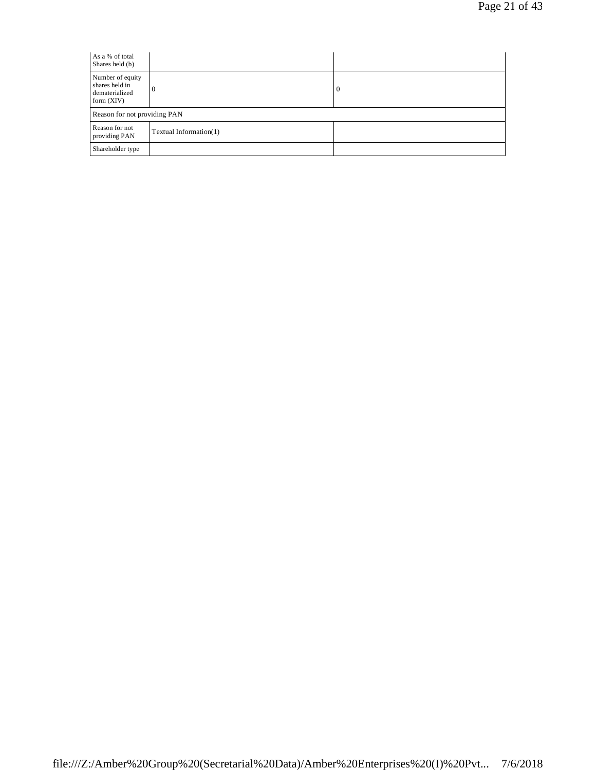| As a % of total<br>Shares held (b)                                   |                              |   |  |
|----------------------------------------------------------------------|------------------------------|---|--|
| Number of equity<br>shares held in<br>dematerialized<br>form $(XIV)$ | $\theta$                     | 0 |  |
|                                                                      | Reason for not providing PAN |   |  |
| Reason for not<br>providing PAN                                      | Textual Information(1)       |   |  |
| Shareholder type                                                     |                              |   |  |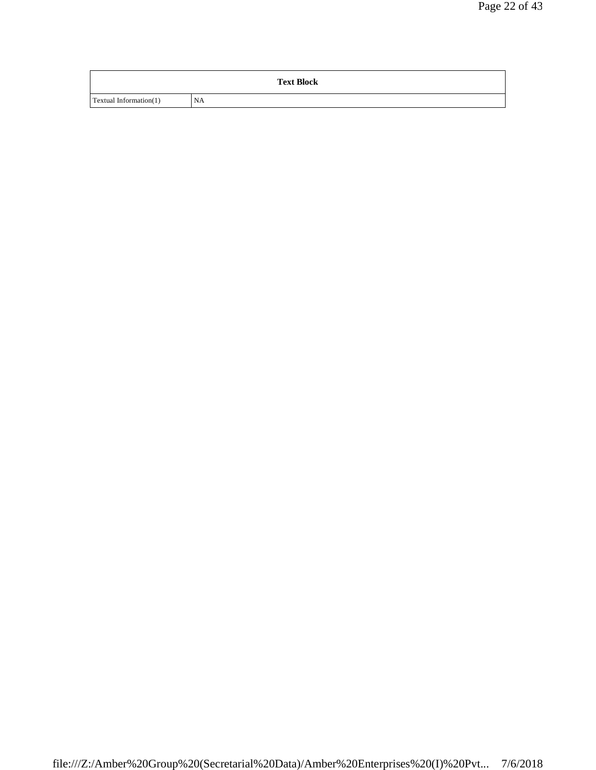|                        | <b>Text Block</b> |
|------------------------|-------------------|
| Textual Information(1) | <b>NA</b>         |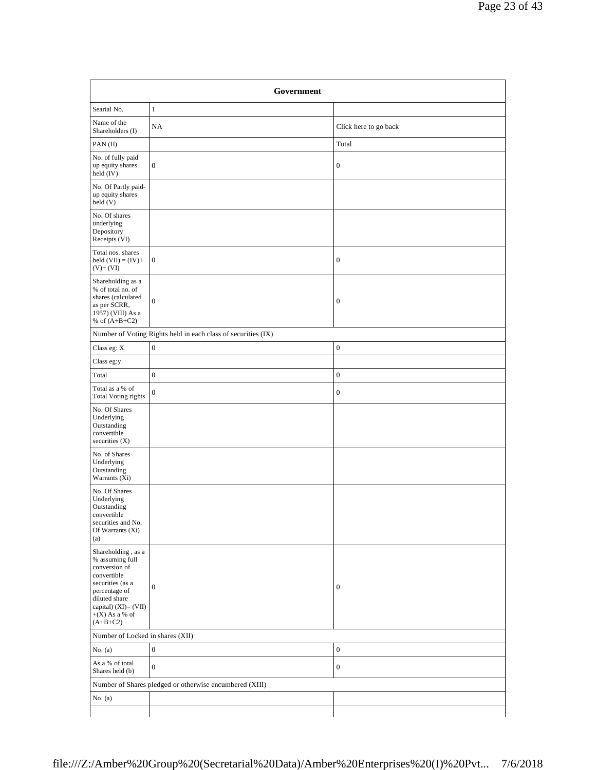| Government                                                                                                                                                                            |                                                               |                       |
|---------------------------------------------------------------------------------------------------------------------------------------------------------------------------------------|---------------------------------------------------------------|-----------------------|
| Searial No.                                                                                                                                                                           | $\mathbf{1}$                                                  |                       |
| Name of the<br>Shareholders (I)                                                                                                                                                       | NA                                                            | Click here to go back |
| PAN(II)                                                                                                                                                                               |                                                               | Total                 |
| No. of fully paid<br>up equity shares<br>held (IV)                                                                                                                                    | $\boldsymbol{0}$                                              | $\boldsymbol{0}$      |
| No. Of Partly paid-<br>up equity shares<br>held(V)                                                                                                                                    |                                                               |                       |
| No. Of shares<br>underlying<br>Depository<br>Receipts (VI)                                                                                                                            |                                                               |                       |
| Total nos. shares<br>held $(VII) = (IV) +$<br>$(V)+(VI)$                                                                                                                              | $\boldsymbol{0}$                                              | $\boldsymbol{0}$      |
| Shareholding as a<br>% of total no. of<br>shares (calculated<br>as per SCRR,<br>1957) (VIII) As a<br>% of $(A+B+C2)$                                                                  | $\boldsymbol{0}$                                              | $\boldsymbol{0}$      |
|                                                                                                                                                                                       | Number of Voting Rights held in each class of securities (IX) |                       |
| Class eg: X                                                                                                                                                                           | $\boldsymbol{0}$                                              | $\boldsymbol{0}$      |
| Class eg:y                                                                                                                                                                            |                                                               |                       |
| Total                                                                                                                                                                                 | $\boldsymbol{0}$                                              | $\boldsymbol{0}$      |
| Total as a % of<br><b>Total Voting rights</b>                                                                                                                                         | $\boldsymbol{0}$                                              | $\boldsymbol{0}$      |
| No. Of Shares<br>Underlying<br>Outstanding<br>convertible<br>securities (X)                                                                                                           |                                                               |                       |
| No. of Shares<br>Underlying<br>Outstanding<br>Warrants (Xi)                                                                                                                           |                                                               |                       |
| No. Of Shares<br>Underlying<br>Outstanding<br>convertible<br>securities and No.<br>Of Warrants (Xi)<br>(a)                                                                            |                                                               |                       |
| Shareholding, as a<br>% assuming full<br>conversion of<br>convertible<br>securities (as a<br>percentage of<br>diluted share<br>capital) (XI)= (VII)<br>$+(X)$ As a % of<br>$(A+B+C2)$ | $\boldsymbol{0}$                                              | $\boldsymbol{0}$      |
| Number of Locked in shares (XII)                                                                                                                                                      |                                                               |                       |
| No. $(a)$                                                                                                                                                                             | $\boldsymbol{0}$                                              | $\boldsymbol{0}$      |
| As a % of total<br>Shares held (b)                                                                                                                                                    | $\boldsymbol{0}$                                              | $\boldsymbol{0}$      |
| Number of Shares pledged or otherwise encumbered (XIII)                                                                                                                               |                                                               |                       |
| No. $(a)$                                                                                                                                                                             |                                                               |                       |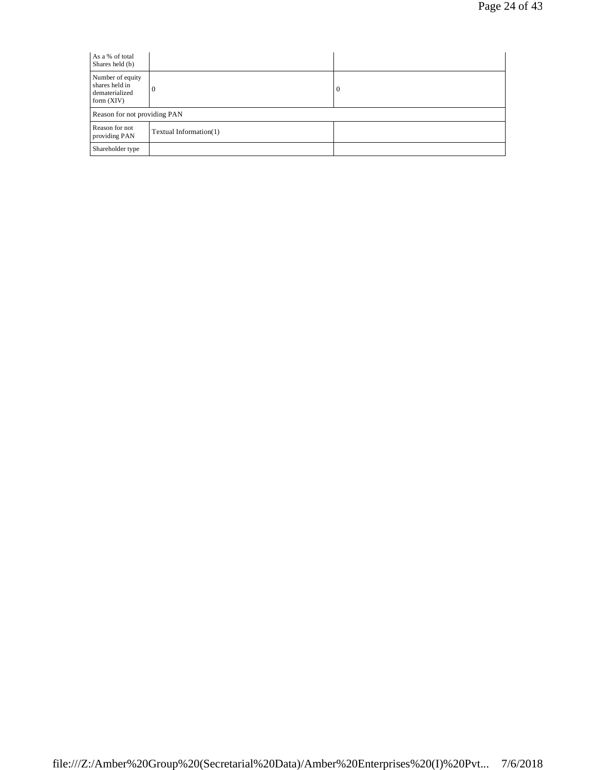| As a % of total<br>Shares held (b)                                   |                        |   |
|----------------------------------------------------------------------|------------------------|---|
| Number of equity<br>shares held in<br>dematerialized<br>form $(XIV)$ | $\theta$               | 0 |
| Reason for not providing PAN                                         |                        |   |
| Reason for not<br>providing PAN                                      | Textual Information(1) |   |
| Shareholder type                                                     |                        |   |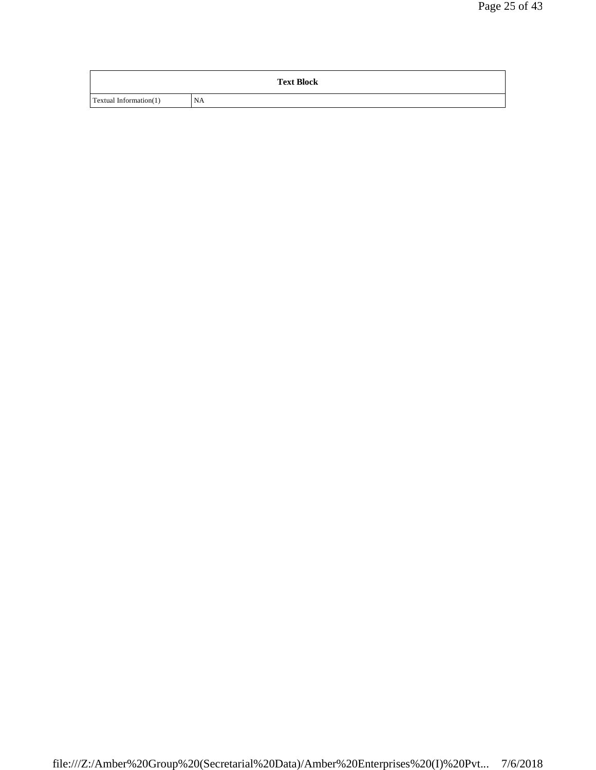|                        | <b>Text Block</b> |
|------------------------|-------------------|
| Textual Information(1) | <b>NA</b>         |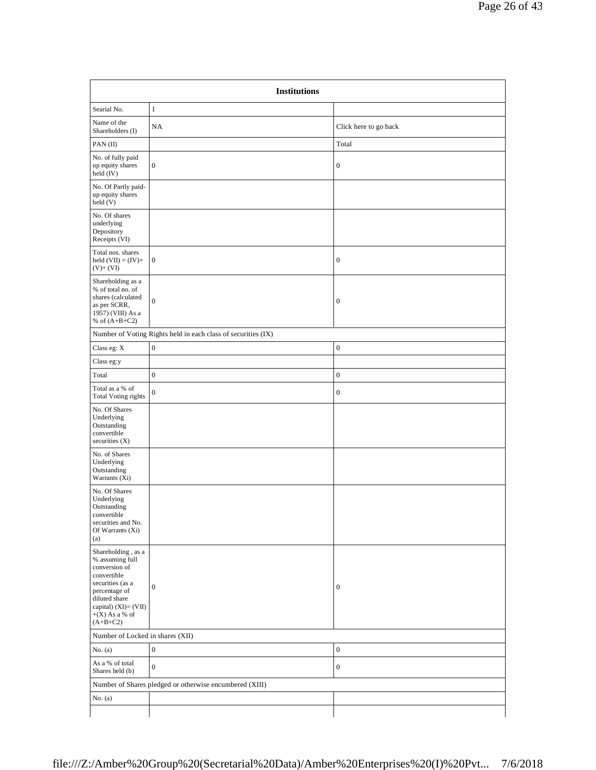| <b>Institutions</b>                                                                                                                                                                                 |                                                               |                       |
|-----------------------------------------------------------------------------------------------------------------------------------------------------------------------------------------------------|---------------------------------------------------------------|-----------------------|
| Searial No.                                                                                                                                                                                         | $\mathbf{1}$                                                  |                       |
| Name of the<br>Shareholders (I)                                                                                                                                                                     | NA                                                            | Click here to go back |
| PAN(II)                                                                                                                                                                                             |                                                               | Total                 |
| No. of fully paid<br>up equity shares<br>held (IV)                                                                                                                                                  | $\boldsymbol{0}$                                              | $\boldsymbol{0}$      |
| No. Of Partly paid-<br>up equity shares<br>held (V)                                                                                                                                                 |                                                               |                       |
| No. Of shares<br>underlying<br>Depository<br>Receipts (VI)                                                                                                                                          |                                                               |                       |
| Total nos. shares<br>held $(VII) = (IV) +$<br>$(V)+(VI)$                                                                                                                                            | $\boldsymbol{0}$                                              | $\boldsymbol{0}$      |
| Shareholding as a<br>% of total no. of<br>shares (calculated<br>as per SCRR,<br>1957) (VIII) As a<br>% of $(A+B+C2)$                                                                                | $\boldsymbol{0}$                                              | $\boldsymbol{0}$      |
|                                                                                                                                                                                                     | Number of Voting Rights held in each class of securities (IX) |                       |
| Class eg: X                                                                                                                                                                                         | $\boldsymbol{0}$                                              | $\boldsymbol{0}$      |
| Class eg:y                                                                                                                                                                                          |                                                               |                       |
| Total                                                                                                                                                                                               | $\boldsymbol{0}$                                              | $\boldsymbol{0}$      |
| Total as a % of<br><b>Total Voting rights</b>                                                                                                                                                       | $\boldsymbol{0}$                                              | $\boldsymbol{0}$      |
| No. Of Shares<br>Underlying<br>Outstanding<br>convertible<br>securities (X)                                                                                                                         |                                                               |                       |
| No. of Shares<br>Underlying<br>Outstanding<br>Warrants $(X_i)$                                                                                                                                      |                                                               |                       |
| No. Of Shares<br>Underlying<br>Outstanding<br>convertible<br>securities and No.<br>Of Warrants (Xi)<br>(a)                                                                                          |                                                               |                       |
| Shareholding , as $\mathbf a$<br>% assuming full<br>conversion of<br>convertible<br>securities (as a<br>percentage of<br>diluted share<br>capital) $(XI) = (VII)$<br>$+(X)$ As a % of<br>$(A+B+C2)$ | $\boldsymbol{0}$                                              | $\boldsymbol{0}$      |
| Number of Locked in shares (XII)                                                                                                                                                                    |                                                               |                       |
| No. $(a)$                                                                                                                                                                                           | $\boldsymbol{0}$                                              | $\boldsymbol{0}$      |
| As a % of total<br>Shares held (b)                                                                                                                                                                  | $\boldsymbol{0}$                                              | $\boldsymbol{0}$      |
|                                                                                                                                                                                                     | Number of Shares pledged or otherwise encumbered (XIII)       |                       |
| No. $(a)$                                                                                                                                                                                           |                                                               |                       |
|                                                                                                                                                                                                     |                                                               |                       |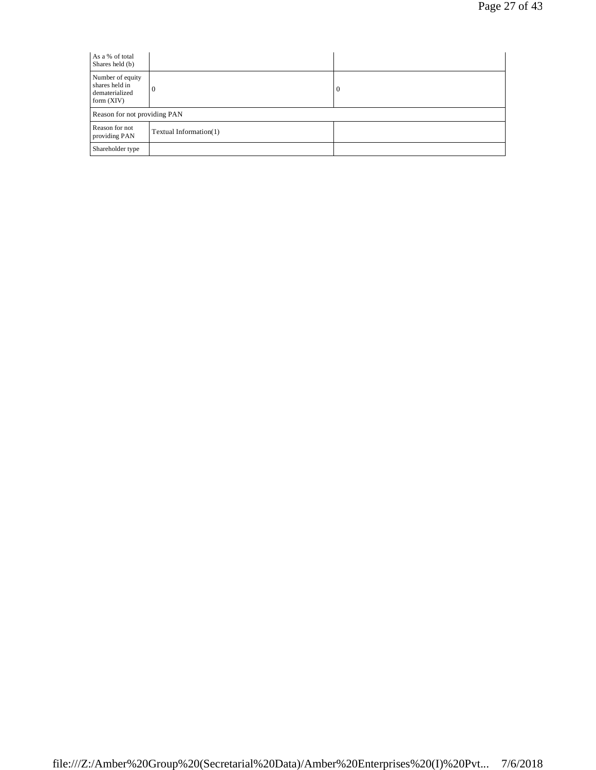| As a % of total<br>Shares held (b)                                   |                        |   |
|----------------------------------------------------------------------|------------------------|---|
| Number of equity<br>shares held in<br>dematerialized<br>form $(XIV)$ | $\theta$               | 0 |
| Reason for not providing PAN                                         |                        |   |
| Reason for not<br>providing PAN                                      | Textual Information(1) |   |
| Shareholder type                                                     |                        |   |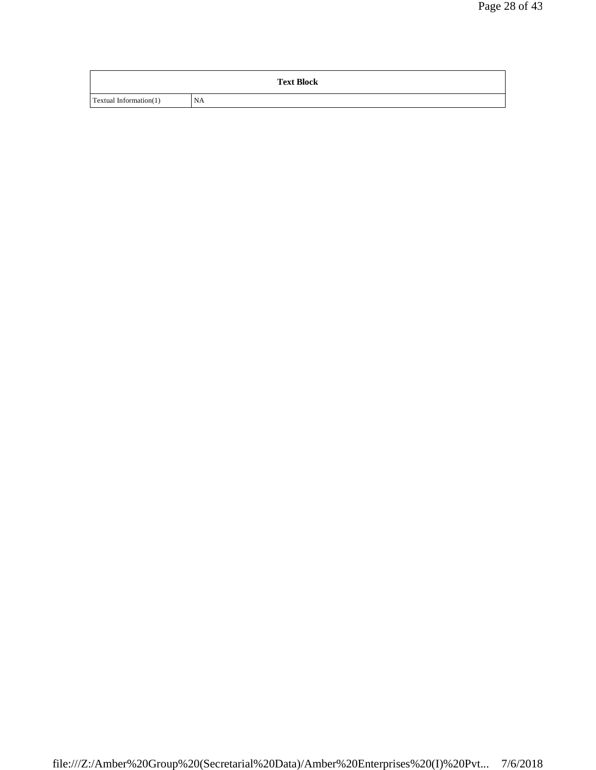|                        | <b>Text Block</b> |
|------------------------|-------------------|
| Textual Information(1) | <b>NA</b>         |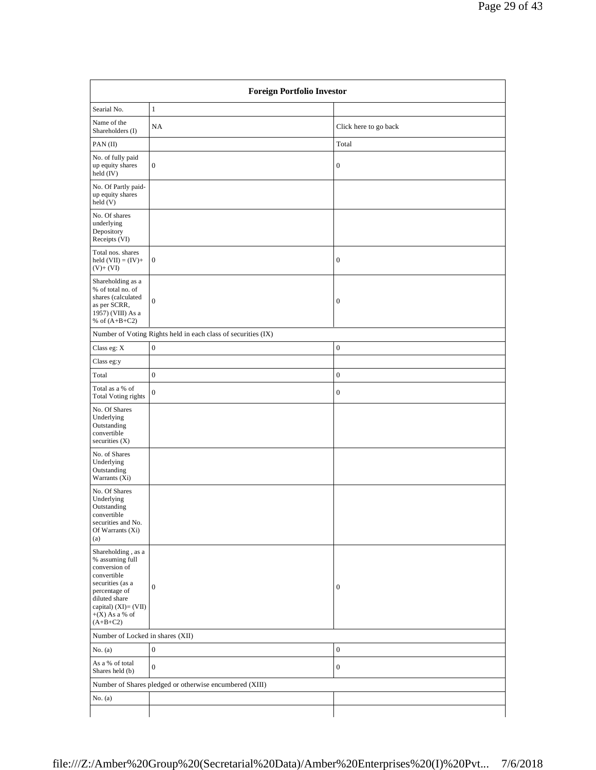| <b>Foreign Portfolio Investor</b>                                                                                                                                                        |                                                               |                       |
|------------------------------------------------------------------------------------------------------------------------------------------------------------------------------------------|---------------------------------------------------------------|-----------------------|
| Searial No.                                                                                                                                                                              | $\mathbf{1}$                                                  |                       |
| Name of the<br>Shareholders (I)                                                                                                                                                          | NA                                                            | Click here to go back |
| PAN(II)                                                                                                                                                                                  |                                                               | Total                 |
| No. of fully paid<br>up equity shares<br>held (IV)                                                                                                                                       | $\mathbf{0}$                                                  | $\boldsymbol{0}$      |
| No. Of Partly paid-<br>up equity shares<br>held (V)                                                                                                                                      |                                                               |                       |
| No. Of shares<br>underlying<br>Depository<br>Receipts (VI)                                                                                                                               |                                                               |                       |
| Total nos. shares<br>held $(VII) = (IV) +$<br>$(V)+(VI)$                                                                                                                                 | $\boldsymbol{0}$                                              | $\boldsymbol{0}$      |
| Shareholding as a<br>% of total no. of<br>shares (calculated<br>as per SCRR,<br>1957) (VIII) As a<br>% of $(A+B+C2)$                                                                     | $\boldsymbol{0}$                                              | $\boldsymbol{0}$      |
|                                                                                                                                                                                          | Number of Voting Rights held in each class of securities (IX) |                       |
| Class eg: X                                                                                                                                                                              | $\boldsymbol{0}$                                              | $\boldsymbol{0}$      |
| Class eg:y                                                                                                                                                                               |                                                               |                       |
| Total                                                                                                                                                                                    | $\boldsymbol{0}$                                              | $\boldsymbol{0}$      |
| Total as a % of<br><b>Total Voting rights</b>                                                                                                                                            | $\boldsymbol{0}$                                              | $\boldsymbol{0}$      |
| No. Of Shares<br>Underlying<br>Outstanding<br>convertible<br>securities $(X)$                                                                                                            |                                                               |                       |
| No. of Shares<br>Underlying<br>Outstanding<br>Warrants $(X_i)$                                                                                                                           |                                                               |                       |
| No. Of Shares<br>Underlying<br>Outstanding<br>convertible<br>securities and No.<br>Of Warrants (Xi)<br>(a)                                                                               |                                                               |                       |
| Shareholding, as a<br>% assuming full<br>conversion of<br>convertible<br>securities (as a<br>percentage of<br>diluted share<br>capital) $(XI) = (VII)$<br>$+(X)$ As a % of<br>$(A+B+C2)$ | $\boldsymbol{0}$                                              | $\boldsymbol{0}$      |
| Number of Locked in shares (XII)                                                                                                                                                         |                                                               |                       |
| No. $(a)$                                                                                                                                                                                | $\boldsymbol{0}$                                              | $\boldsymbol{0}$      |
| As a % of total<br>Shares held (b)                                                                                                                                                       | $\boldsymbol{0}$                                              | $\boldsymbol{0}$      |
|                                                                                                                                                                                          | Number of Shares pledged or otherwise encumbered (XIII)       |                       |
| No. $(a)$                                                                                                                                                                                |                                                               |                       |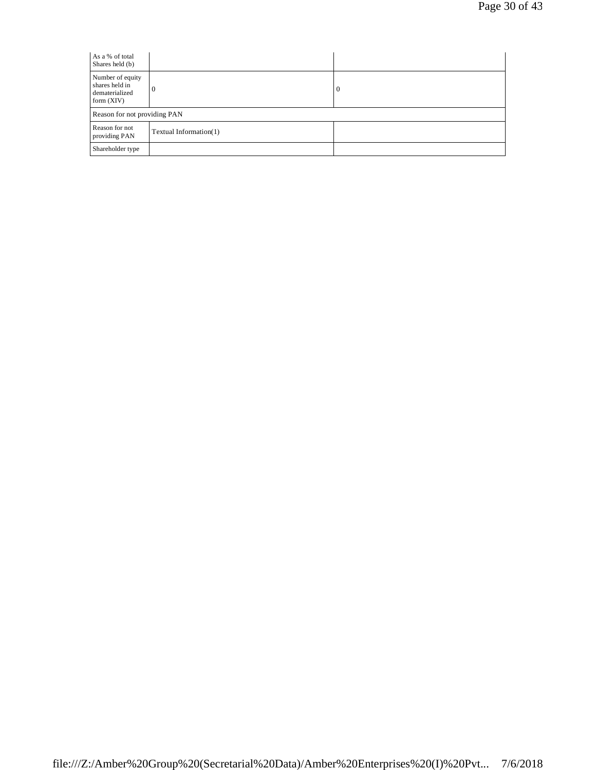| As a % of total<br>Shares held (b)                                   |                        |   |
|----------------------------------------------------------------------|------------------------|---|
| Number of equity<br>shares held in<br>dematerialized<br>form $(XIV)$ | $\theta$               | 0 |
| Reason for not providing PAN                                         |                        |   |
| Reason for not<br>providing PAN                                      | Textual Information(1) |   |
| Shareholder type                                                     |                        |   |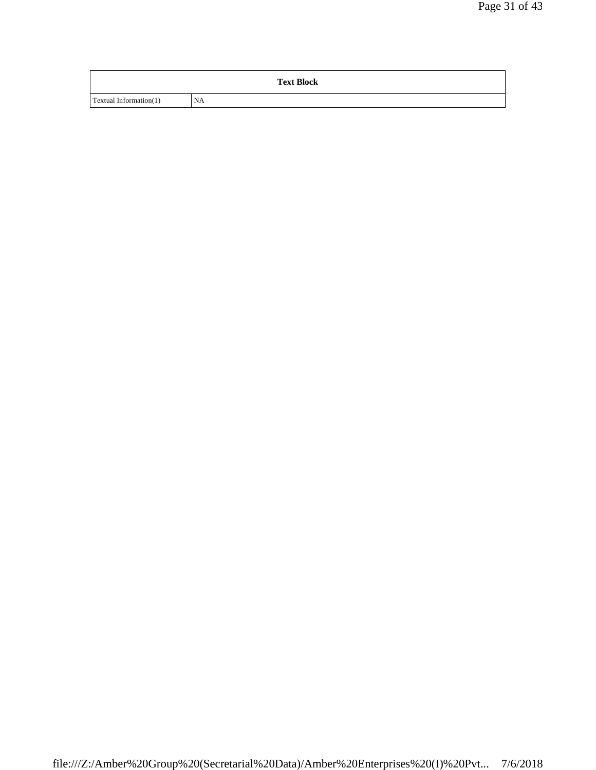| <b>Text Block</b>      |    |  |
|------------------------|----|--|
| Textual Information(1) | NA |  |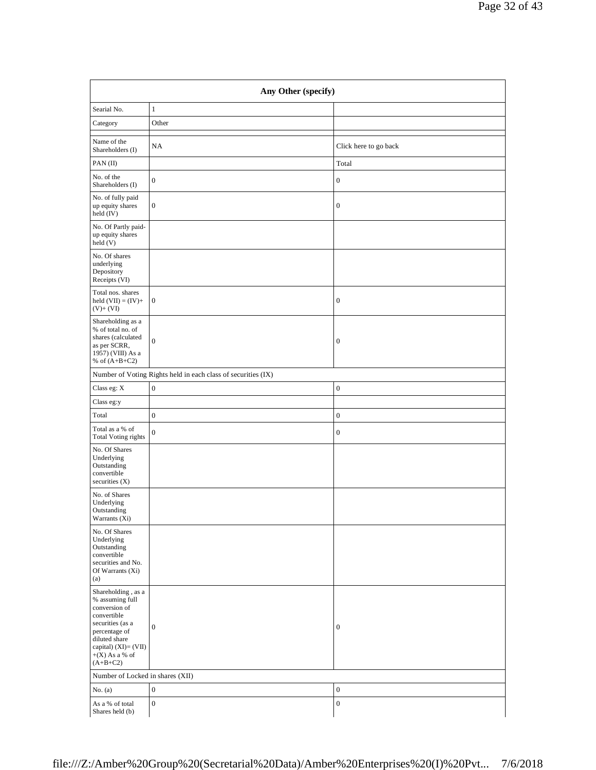|                     |                       | Page 32 of 43 |
|---------------------|-----------------------|---------------|
|                     |                       |               |
|                     |                       |               |
| Any Other (specify) |                       |               |
|                     |                       |               |
|                     |                       |               |
|                     | Click here to go back |               |
|                     | Total                 |               |
|                     | $\overline{0}$        |               |
|                     | $\boldsymbol{0}$      |               |
|                     |                       |               |
|                     |                       |               |
|                     | $\overline{0}$        |               |
|                     |                       |               |
|                     | $\overline{0}$        |               |
| (K)                 |                       |               |
|                     | $\overline{0}$        |               |
|                     |                       |               |

| PAN(II)<br>Total<br>No. of the<br>$\boldsymbol{0}$<br>$\boldsymbol{0}$<br>Shareholders (I)<br>No. of fully paid<br>$\boldsymbol{0}$<br>$\boldsymbol{0}$<br>up equity shares<br>held (IV)<br>No. Of Partly paid-<br>up equity shares<br>held (V)<br>No. Of shares<br>underlying<br>Depository<br>Receipts (VI)<br>Total nos. shares<br>$\boldsymbol{0}$<br>held $(VII) = (IV) +$<br>$\mathbf{0}$<br>$(V)+(VI)$<br>Shareholding as a<br>% of total no. of<br>shares (calculated<br>$\boldsymbol{0}$<br>$\boldsymbol{0}$<br>as per SCRR,<br>1957) (VIII) As a<br>% of $(A+B+C2)$<br>Number of Voting Rights held in each class of securities (IX)<br>$\boldsymbol{0}$<br>$\boldsymbol{0}$<br>Class eg: X<br>Class eg:y<br>$\boldsymbol{0}$<br>$\boldsymbol{0}$<br>Total<br>Total as a % of<br>$\boldsymbol{0}$<br>$\boldsymbol{0}$<br><b>Total Voting rights</b><br>No. Of Shares<br>Underlying<br>Outstanding<br>convertible<br>securities $(X)$<br>No. of Shares<br>Underlying<br>Outstanding<br>Warrants (Xi)<br>No. Of Shares<br>Underlying<br>Outstanding<br>convertible<br>securities and No.<br>Of Warrants (Xi)<br>(a)<br>Shareholding, as a<br>% assuming full<br>conversion of<br>convertible<br>securities (as a<br>$\mathbf{0}$<br>$\boldsymbol{0}$<br>percentage of<br>diluted share<br>capital) $(XI) = (VII)$<br>$+(X)$ As a % of<br>$(A+B+C2)$<br>Number of Locked in shares (XII)<br>$\boldsymbol{0}$<br>$\boldsymbol{0}$<br>No. $(a)$<br>As a % of total<br>$\boldsymbol{0}$<br>$\boldsymbol{0}$<br>Shares held (b) | Name of the<br>Shareholders (I) | NA | Click here to go back |
|------------------------------------------------------------------------------------------------------------------------------------------------------------------------------------------------------------------------------------------------------------------------------------------------------------------------------------------------------------------------------------------------------------------------------------------------------------------------------------------------------------------------------------------------------------------------------------------------------------------------------------------------------------------------------------------------------------------------------------------------------------------------------------------------------------------------------------------------------------------------------------------------------------------------------------------------------------------------------------------------------------------------------------------------------------------------------------------------------------------------------------------------------------------------------------------------------------------------------------------------------------------------------------------------------------------------------------------------------------------------------------------------------------------------------------------------------------------------------------------------------------------------------------|---------------------------------|----|-----------------------|
|                                                                                                                                                                                                                                                                                                                                                                                                                                                                                                                                                                                                                                                                                                                                                                                                                                                                                                                                                                                                                                                                                                                                                                                                                                                                                                                                                                                                                                                                                                                                    |                                 |    |                       |
|                                                                                                                                                                                                                                                                                                                                                                                                                                                                                                                                                                                                                                                                                                                                                                                                                                                                                                                                                                                                                                                                                                                                                                                                                                                                                                                                                                                                                                                                                                                                    |                                 |    |                       |
|                                                                                                                                                                                                                                                                                                                                                                                                                                                                                                                                                                                                                                                                                                                                                                                                                                                                                                                                                                                                                                                                                                                                                                                                                                                                                                                                                                                                                                                                                                                                    |                                 |    |                       |
|                                                                                                                                                                                                                                                                                                                                                                                                                                                                                                                                                                                                                                                                                                                                                                                                                                                                                                                                                                                                                                                                                                                                                                                                                                                                                                                                                                                                                                                                                                                                    |                                 |    |                       |
|                                                                                                                                                                                                                                                                                                                                                                                                                                                                                                                                                                                                                                                                                                                                                                                                                                                                                                                                                                                                                                                                                                                                                                                                                                                                                                                                                                                                                                                                                                                                    |                                 |    |                       |
|                                                                                                                                                                                                                                                                                                                                                                                                                                                                                                                                                                                                                                                                                                                                                                                                                                                                                                                                                                                                                                                                                                                                                                                                                                                                                                                                                                                                                                                                                                                                    |                                 |    |                       |
|                                                                                                                                                                                                                                                                                                                                                                                                                                                                                                                                                                                                                                                                                                                                                                                                                                                                                                                                                                                                                                                                                                                                                                                                                                                                                                                                                                                                                                                                                                                                    |                                 |    |                       |
|                                                                                                                                                                                                                                                                                                                                                                                                                                                                                                                                                                                                                                                                                                                                                                                                                                                                                                                                                                                                                                                                                                                                                                                                                                                                                                                                                                                                                                                                                                                                    |                                 |    |                       |
|                                                                                                                                                                                                                                                                                                                                                                                                                                                                                                                                                                                                                                                                                                                                                                                                                                                                                                                                                                                                                                                                                                                                                                                                                                                                                                                                                                                                                                                                                                                                    |                                 |    |                       |
|                                                                                                                                                                                                                                                                                                                                                                                                                                                                                                                                                                                                                                                                                                                                                                                                                                                                                                                                                                                                                                                                                                                                                                                                                                                                                                                                                                                                                                                                                                                                    |                                 |    |                       |
|                                                                                                                                                                                                                                                                                                                                                                                                                                                                                                                                                                                                                                                                                                                                                                                                                                                                                                                                                                                                                                                                                                                                                                                                                                                                                                                                                                                                                                                                                                                                    |                                 |    |                       |
|                                                                                                                                                                                                                                                                                                                                                                                                                                                                                                                                                                                                                                                                                                                                                                                                                                                                                                                                                                                                                                                                                                                                                                                                                                                                                                                                                                                                                                                                                                                                    |                                 |    |                       |
|                                                                                                                                                                                                                                                                                                                                                                                                                                                                                                                                                                                                                                                                                                                                                                                                                                                                                                                                                                                                                                                                                                                                                                                                                                                                                                                                                                                                                                                                                                                                    |                                 |    |                       |
|                                                                                                                                                                                                                                                                                                                                                                                                                                                                                                                                                                                                                                                                                                                                                                                                                                                                                                                                                                                                                                                                                                                                                                                                                                                                                                                                                                                                                                                                                                                                    |                                 |    |                       |
|                                                                                                                                                                                                                                                                                                                                                                                                                                                                                                                                                                                                                                                                                                                                                                                                                                                                                                                                                                                                                                                                                                                                                                                                                                                                                                                                                                                                                                                                                                                                    |                                 |    |                       |
|                                                                                                                                                                                                                                                                                                                                                                                                                                                                                                                                                                                                                                                                                                                                                                                                                                                                                                                                                                                                                                                                                                                                                                                                                                                                                                                                                                                                                                                                                                                                    |                                 |    |                       |
|                                                                                                                                                                                                                                                                                                                                                                                                                                                                                                                                                                                                                                                                                                                                                                                                                                                                                                                                                                                                                                                                                                                                                                                                                                                                                                                                                                                                                                                                                                                                    |                                 |    |                       |
|                                                                                                                                                                                                                                                                                                                                                                                                                                                                                                                                                                                                                                                                                                                                                                                                                                                                                                                                                                                                                                                                                                                                                                                                                                                                                                                                                                                                                                                                                                                                    |                                 |    |                       |
|                                                                                                                                                                                                                                                                                                                                                                                                                                                                                                                                                                                                                                                                                                                                                                                                                                                                                                                                                                                                                                                                                                                                                                                                                                                                                                                                                                                                                                                                                                                                    |                                 |    |                       |

Searial No.  $\Big| 1$ Category Other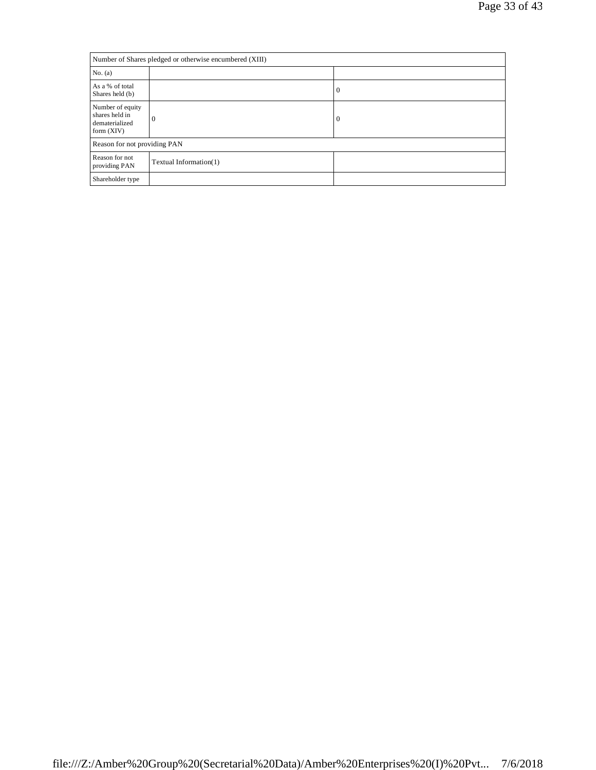| Number of Shares pledged or otherwise encumbered (XIII)              |                        |                  |
|----------------------------------------------------------------------|------------------------|------------------|
| No. (a)                                                              |                        |                  |
| As a % of total<br>Shares held (b)                                   |                        | $\boldsymbol{0}$ |
| Number of equity<br>shares held in<br>dematerialized<br>form $(XIV)$ | $\Omega$               | $\boldsymbol{0}$ |
| Reason for not providing PAN                                         |                        |                  |
| Reason for not<br>providing PAN                                      | Textual Information(1) |                  |
| Shareholder type                                                     |                        |                  |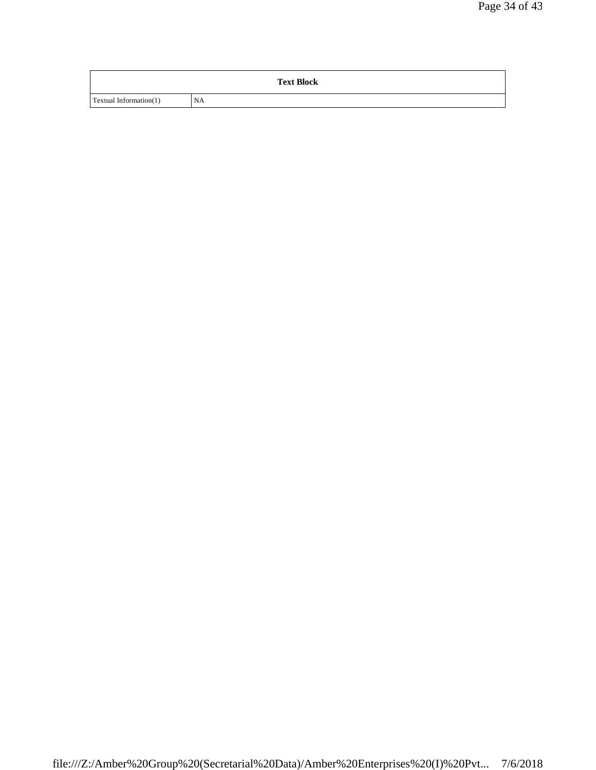| <b>Text Block</b>      |           |  |
|------------------------|-----------|--|
| Textual Information(1) | <b>NA</b> |  |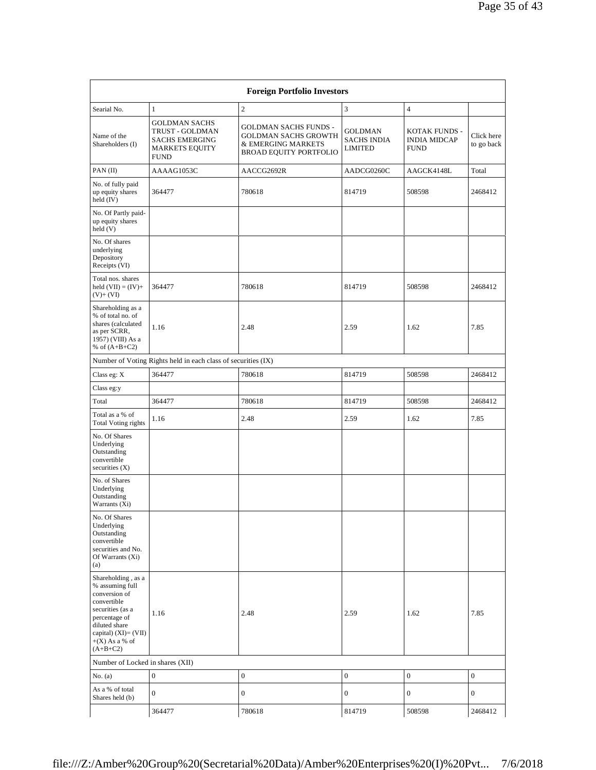| <b>Foreign Portfolio Investors</b>                                                                                                                                                       |                                                                                                          |                                                                                                                    |                                                 |                                                            |                          |  |  |
|------------------------------------------------------------------------------------------------------------------------------------------------------------------------------------------|----------------------------------------------------------------------------------------------------------|--------------------------------------------------------------------------------------------------------------------|-------------------------------------------------|------------------------------------------------------------|--------------------------|--|--|
| Searial No.                                                                                                                                                                              | $\mathbf{1}$                                                                                             | $\overline{c}$                                                                                                     | 3                                               | $\overline{4}$                                             |                          |  |  |
| Name of the<br>Shareholders (I)                                                                                                                                                          | <b>GOLDMAN SACHS</b><br>TRUST - GOLDMAN<br><b>SACHS EMERGING</b><br><b>MARKETS EQUITY</b><br><b>FUND</b> | <b>GOLDMAN SACHS FUNDS -</b><br><b>GOLDMAN SACHS GROWTH</b><br>& EMERGING MARKETS<br><b>BROAD EQUITY PORTFOLIO</b> | GOLDMAN<br><b>SACHS INDIA</b><br><b>LIMITED</b> | <b>KOTAK FUNDS -</b><br><b>INDIA MIDCAP</b><br><b>FUND</b> | Click here<br>to go back |  |  |
| PAN(II)                                                                                                                                                                                  | AAAAG1053C                                                                                               | AACCG2692R                                                                                                         | AADCG0260C                                      | AAGCK4148L                                                 | Total                    |  |  |
| No. of fully paid<br>up equity shares<br>held (IV)                                                                                                                                       | 364477                                                                                                   | 780618                                                                                                             | 814719                                          | 508598                                                     | 2468412                  |  |  |
| No. Of Partly paid-<br>up equity shares<br>held (V)                                                                                                                                      |                                                                                                          |                                                                                                                    |                                                 |                                                            |                          |  |  |
| No. Of shares<br>underlying<br>Depository<br>Receipts (VI)                                                                                                                               |                                                                                                          |                                                                                                                    |                                                 |                                                            |                          |  |  |
| Total nos, shares<br>held $(VII) = (IV) +$<br>$(V)+(VI)$                                                                                                                                 | 364477                                                                                                   | 780618                                                                                                             | 814719                                          | 508598                                                     | 2468412                  |  |  |
| Shareholding as a<br>% of total no. of<br>shares (calculated<br>as per SCRR,<br>1957) (VIII) As a<br>% of $(A+B+C2)$                                                                     | 1.16                                                                                                     | 2.48                                                                                                               | 2.59                                            | 1.62                                                       | 7.85                     |  |  |
|                                                                                                                                                                                          | Number of Voting Rights held in each class of securities (IX)                                            |                                                                                                                    |                                                 |                                                            |                          |  |  |
| Class eg: $X$                                                                                                                                                                            | 364477                                                                                                   | 780618                                                                                                             | 814719                                          | 508598                                                     | 2468412                  |  |  |
| Class eg:y                                                                                                                                                                               |                                                                                                          |                                                                                                                    |                                                 |                                                            |                          |  |  |
| Total                                                                                                                                                                                    | 364477                                                                                                   | 780618                                                                                                             | 814719                                          | 508598                                                     | 2468412                  |  |  |
| Total as a % of<br><b>Total Voting rights</b>                                                                                                                                            | 1.16                                                                                                     | 2.48                                                                                                               | 2.59                                            | 1.62                                                       | 7.85                     |  |  |
| No. Of Shares<br>Underlying<br>Outstanding<br>convertible<br>securities $(X)$                                                                                                            |                                                                                                          |                                                                                                                    |                                                 |                                                            |                          |  |  |
| No. of Shares<br>Underlying<br>Outstanding<br>Warrants (Xi)                                                                                                                              |                                                                                                          |                                                                                                                    |                                                 |                                                            |                          |  |  |
| No. Of Shares<br>Underlying<br>Outstanding<br>convertible<br>securities and No.<br>Of Warrants (Xi)<br>(a)                                                                               |                                                                                                          |                                                                                                                    |                                                 |                                                            |                          |  |  |
| Shareholding, as a<br>% assuming full<br>conversion of<br>convertible<br>securities (as a<br>percentage of<br>diluted share<br>capital) $(XI) = (VII)$<br>$+(X)$ As a % of<br>$(A+B+C2)$ | 1.16                                                                                                     | 2.48                                                                                                               | 2.59                                            | 1.62                                                       | 7.85                     |  |  |
| Number of Locked in shares (XII)                                                                                                                                                         |                                                                                                          |                                                                                                                    |                                                 |                                                            |                          |  |  |
| No. (a)                                                                                                                                                                                  | $\boldsymbol{0}$                                                                                         | $\boldsymbol{0}$                                                                                                   | $\boldsymbol{0}$                                | $\boldsymbol{0}$                                           | $\boldsymbol{0}$         |  |  |
| As a % of total<br>Shares held (b)                                                                                                                                                       | $\boldsymbol{0}$                                                                                         | $\boldsymbol{0}$                                                                                                   | $\boldsymbol{0}$                                | $\boldsymbol{0}$                                           | $\mathbf{0}$             |  |  |
|                                                                                                                                                                                          | 364477                                                                                                   | 780618                                                                                                             | 814719                                          | 508598                                                     | 2468412                  |  |  |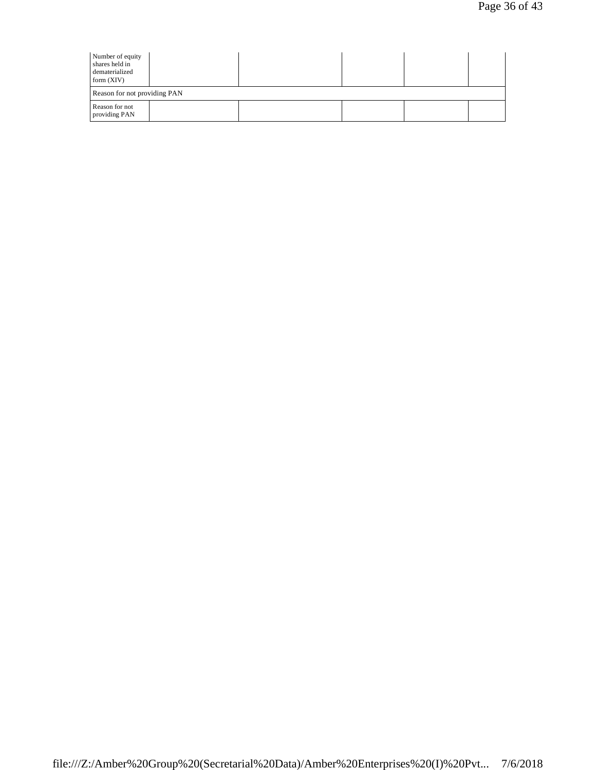| Number of equity<br>shares held in<br>dematerialized<br>form $(XIV)$ |  |  |  |  |  |  |
|----------------------------------------------------------------------|--|--|--|--|--|--|
| Reason for not providing PAN                                         |  |  |  |  |  |  |
| Reason for not<br>providing PAN                                      |  |  |  |  |  |  |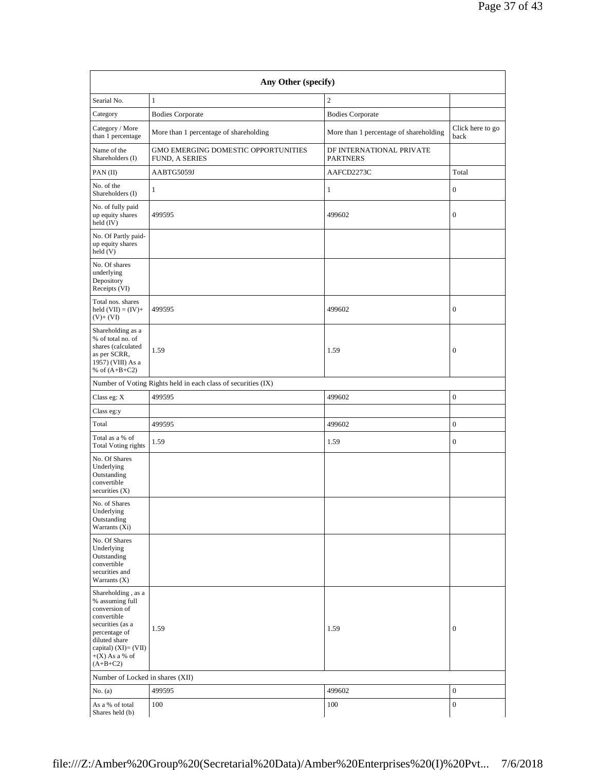| Any Other (specify)                                                                                                                                                                      |                                                               |                                             |                          |  |  |  |  |
|------------------------------------------------------------------------------------------------------------------------------------------------------------------------------------------|---------------------------------------------------------------|---------------------------------------------|--------------------------|--|--|--|--|
| Searial No.                                                                                                                                                                              | $\mathbf{1}$                                                  | $\overline{c}$                              |                          |  |  |  |  |
| Category                                                                                                                                                                                 | <b>Bodies Corporate</b>                                       | <b>Bodies Corporate</b>                     |                          |  |  |  |  |
| Category / More<br>than 1 percentage                                                                                                                                                     | More than 1 percentage of shareholding                        | More than 1 percentage of shareholding      | Click here to go<br>back |  |  |  |  |
| Name of the<br>Shareholders (I)                                                                                                                                                          | GMO EMERGING DOMESTIC OPPORTUNITIES<br>FUND, A SERIES         | DF INTERNATIONAL PRIVATE<br><b>PARTNERS</b> |                          |  |  |  |  |
| PAN(II)                                                                                                                                                                                  | AABTG5059J                                                    | AAFCD2273C                                  | Total                    |  |  |  |  |
| No. of the<br>Shareholders (I)                                                                                                                                                           | 1                                                             | 1                                           | $\boldsymbol{0}$         |  |  |  |  |
| No. of fully paid<br>up equity shares<br>held (IV)                                                                                                                                       | 499595                                                        | 499602                                      | $\boldsymbol{0}$         |  |  |  |  |
| No. Of Partly paid-<br>up equity shares<br>held (V)                                                                                                                                      |                                                               |                                             |                          |  |  |  |  |
| No. Of shares<br>underlying<br>Depository<br>Receipts (VI)                                                                                                                               |                                                               |                                             |                          |  |  |  |  |
| Total nos, shares<br>held $(VII) = (IV) +$<br>$(V)+(VI)$                                                                                                                                 | 499595                                                        | 499602                                      | $\boldsymbol{0}$         |  |  |  |  |
| Shareholding as a<br>% of total no. of<br>shares (calculated<br>as per SCRR,<br>1957) (VIII) As a<br>% of $(A+B+C2)$                                                                     | 1.59                                                          | 1.59                                        | $\boldsymbol{0}$         |  |  |  |  |
|                                                                                                                                                                                          | Number of Voting Rights held in each class of securities (IX) |                                             |                          |  |  |  |  |
| Class eg: X                                                                                                                                                                              | 499595                                                        | 499602                                      | $\boldsymbol{0}$         |  |  |  |  |
| Class eg:y                                                                                                                                                                               |                                                               |                                             |                          |  |  |  |  |
| Total                                                                                                                                                                                    | 499595                                                        | 499602                                      | $\boldsymbol{0}$         |  |  |  |  |
| Total as a % of<br><b>Total Voting rights</b>                                                                                                                                            | 1.59                                                          | 1.59                                        | $\boldsymbol{0}$         |  |  |  |  |
| No. Of Shares<br>Underlying<br>Outstanding<br>convertible<br>securities $(X)$                                                                                                            |                                                               |                                             |                          |  |  |  |  |
| No. of Shares<br>Underlying<br>Outstanding<br>Warrants (Xi)                                                                                                                              |                                                               |                                             |                          |  |  |  |  |
| No. Of Shares<br>Underlying<br>Outstanding<br>convertible<br>securities and<br>Warrants $(X)$                                                                                            |                                                               |                                             |                          |  |  |  |  |
| Shareholding, as a<br>% assuming full<br>conversion of<br>convertible<br>securities (as a<br>percentage of<br>diluted share<br>capital) $(XI) = (VII)$<br>$+(X)$ As a % of<br>$(A+B+C2)$ | 1.59                                                          | 1.59                                        | $\boldsymbol{0}$         |  |  |  |  |
| Number of Locked in shares (XII)                                                                                                                                                         |                                                               |                                             |                          |  |  |  |  |
| No. $(a)$                                                                                                                                                                                | 499595                                                        | 499602                                      | $\boldsymbol{0}$         |  |  |  |  |
| As a % of total<br>Shares held (b)                                                                                                                                                       | 100                                                           | 100                                         | $\boldsymbol{0}$         |  |  |  |  |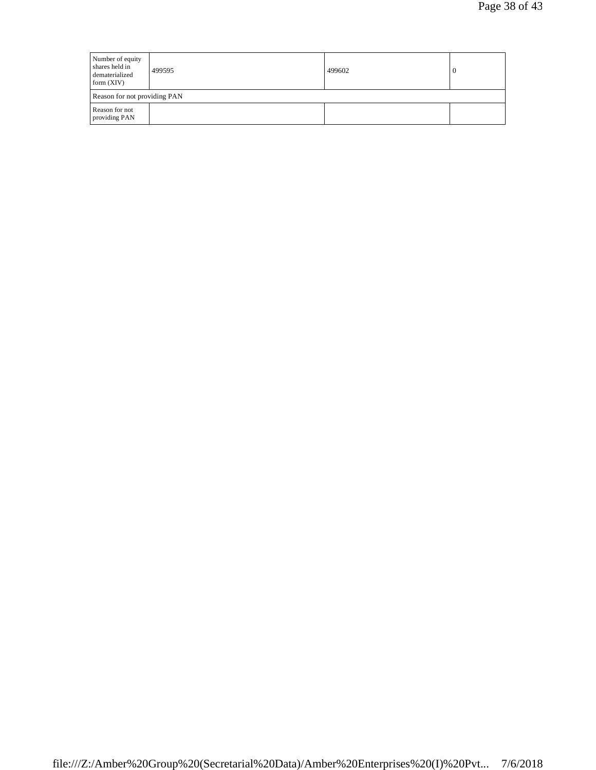| Number of equity<br>shares held in<br>dematerialized<br>form $(XIV)$ | 499595 | 499602 |  |  |  |
|----------------------------------------------------------------------|--------|--------|--|--|--|
| Reason for not providing PAN                                         |        |        |  |  |  |
| Reason for not<br>providing PAN                                      |        |        |  |  |  |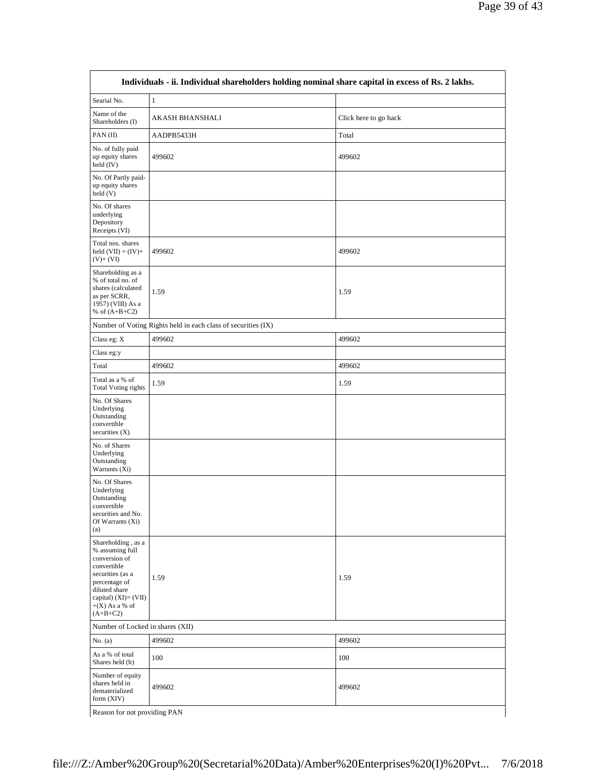| Searial No.                                                                                                                                                                              | $\mathbf{1}$                                                  |                       |
|------------------------------------------------------------------------------------------------------------------------------------------------------------------------------------------|---------------------------------------------------------------|-----------------------|
| Name of the<br>Shareholders (I)                                                                                                                                                          | <b>AKASH BHANSHALI</b>                                        | Click here to go back |
| PAN(II)                                                                                                                                                                                  | AADPB5433H                                                    | Total                 |
| No. of fully paid<br>up equity shares<br>held (IV)                                                                                                                                       | 499602                                                        | 499602                |
| No. Of Partly paid-<br>up equity shares<br>held(V)                                                                                                                                       |                                                               |                       |
| No. Of shares<br>underlying<br>Depository<br>Receipts (VI)                                                                                                                               |                                                               |                       |
| Total nos. shares<br>held $(VII) = (IV) +$<br>$(V)+(VI)$                                                                                                                                 | 499602                                                        | 499602                |
| Shareholding as a<br>% of total no. of<br>shares (calculated<br>as per SCRR,<br>1957) (VIII) As a<br>% of $(A+B+C2)$                                                                     | 1.59                                                          | 1.59                  |
|                                                                                                                                                                                          | Number of Voting Rights held in each class of securities (IX) |                       |
| Class eg: $X$                                                                                                                                                                            | 499602                                                        | 499602                |
| Class eg:y                                                                                                                                                                               |                                                               |                       |
| Total                                                                                                                                                                                    | 499602                                                        | 499602                |
| Total as a % of<br><b>Total Voting rights</b>                                                                                                                                            | 1.59                                                          | 1.59                  |
| No. Of Shares<br>Underlying<br>Outstanding<br>convertible<br>securities $(X)$                                                                                                            |                                                               |                       |
| No. of Shares<br>Underlying<br>Outstanding<br>Warrants (Xi)                                                                                                                              |                                                               |                       |
| No. Of Shares<br>Underlying<br>Outstanding<br>convertible<br>securities and No.<br>Of Warrants (Xi)<br>(a)                                                                               |                                                               |                       |
| Shareholding, as a<br>% assuming full<br>conversion of<br>convertible<br>securities (as a<br>percentage of<br>diluted share<br>capital) $(XI) = (VII)$<br>$+(X)$ As a % of<br>$(A+B+C2)$ | 1.59                                                          | 1.59                  |
| Number of Locked in shares (XII)                                                                                                                                                         |                                                               |                       |
| No. $(a)$                                                                                                                                                                                | 499602                                                        | 499602                |
| As a % of total<br>Shares held (b)                                                                                                                                                       | 100                                                           | 100                   |
| Number of equity<br>shares held in<br>dematerialized<br>form $(XIV)$                                                                                                                     | 499602                                                        | 499602                |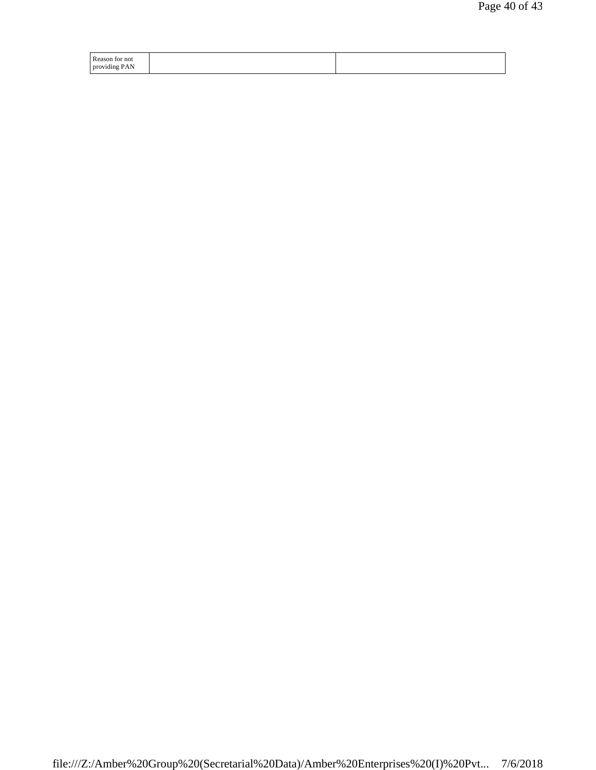| Reason<br>tor not |  |
|-------------------|--|
| providing PAN     |  |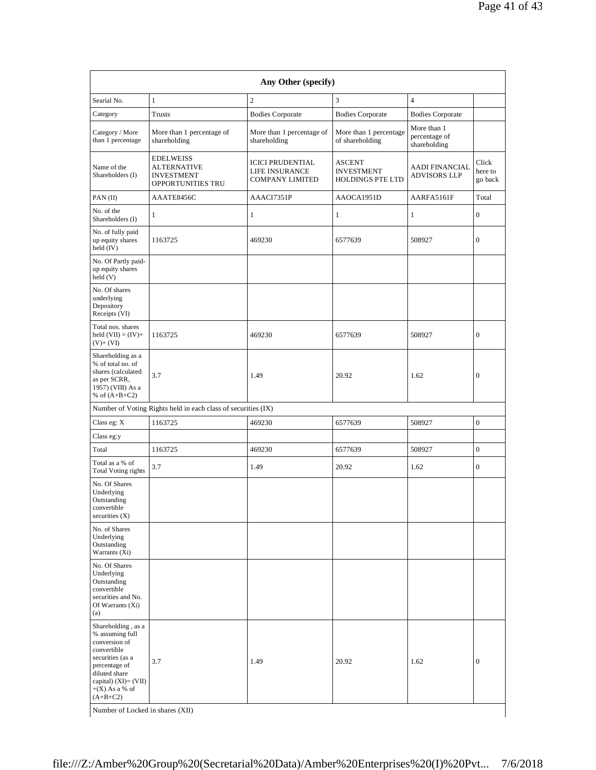| Searial No.                                                                                                                                                                | $\mathbf{1}$                                                                     | $\mathbf{2}$                                                        | 3                                                             | $\overline{4}$                               |                             |
|----------------------------------------------------------------------------------------------------------------------------------------------------------------------------|----------------------------------------------------------------------------------|---------------------------------------------------------------------|---------------------------------------------------------------|----------------------------------------------|-----------------------------|
| Category                                                                                                                                                                   | Trusts                                                                           | <b>Bodies Corporate</b>                                             | <b>Bodies Corporate</b>                                       | <b>Bodies Corporate</b>                      |                             |
| Category / More<br>than 1 percentage                                                                                                                                       | More than 1 percentage of<br>shareholding                                        | More than 1 percentage of<br>shareholding                           | More than 1 percentage<br>of shareholding                     | More than 1<br>percentage of<br>shareholding |                             |
| Name of the<br>Shareholders (I)                                                                                                                                            | <b>EDELWEISS</b><br><b>ALTERNATIVE</b><br><b>INVESTMENT</b><br>OPPORTUNITIES TRU | <b>ICICI PRUDENTIAL</b><br>LIFE INSURANCE<br><b>COMPANY LIMITED</b> | <b>ASCENT</b><br><b>INVESTMENT</b><br><b>HOLDINGS PTE LTD</b> | <b>AADI FINANCIAL</b><br><b>ADVISORS LLP</b> | Click<br>here to<br>go back |
| PAN(II)                                                                                                                                                                    | AAATE8456C                                                                       | AAACI7351P                                                          | AAOCA1951D                                                    | AARFA5161F                                   | Total                       |
| No. of the<br>Shareholders (I)                                                                                                                                             | $\mathbf{1}$                                                                     | 1                                                                   | $\mathbf{1}$                                                  | 1                                            | $\mathbf{0}$                |
| No. of fully paid<br>up equity shares<br>held (IV)                                                                                                                         | 1163725                                                                          | 469230                                                              | 6577639                                                       | 508927                                       | $\mathbf{0}$                |
| No. Of Partly paid-<br>up equity shares<br>held(V)                                                                                                                         |                                                                                  |                                                                     |                                                               |                                              |                             |
| No. Of shares<br>underlying<br>Depository<br>Receipts (VI)                                                                                                                 |                                                                                  |                                                                     |                                                               |                                              |                             |
| Total nos. shares<br>held $(VII) = (IV) +$<br>$(V)+(VI)$                                                                                                                   | 1163725                                                                          | 469230                                                              | 6577639                                                       | 508927                                       | $\mathbf{0}$                |
| Shareholding as a<br>% of total no. of<br>shares (calculated<br>as per SCRR,<br>1957) (VIII) As a<br>% of $(A+B+C2)$                                                       | 3.7                                                                              | 1.49                                                                | 20.92                                                         | 1.62                                         | $\mathbf{0}$                |
|                                                                                                                                                                            | Number of Voting Rights held in each class of securities (IX)                    |                                                                     |                                                               |                                              |                             |
| Class eg: X                                                                                                                                                                | 1163725                                                                          | 469230                                                              | 6577639                                                       | 508927                                       | $\mathbf{0}$                |
| Class eg:y                                                                                                                                                                 |                                                                                  |                                                                     |                                                               |                                              |                             |
| Total                                                                                                                                                                      | 1163725                                                                          | 469230                                                              | 6577639                                                       | 508927                                       | $\boldsymbol{0}$            |
| Total as a % of<br><b>Total Voting rights</b>                                                                                                                              | 3.7                                                                              | 1.49                                                                | 20.92                                                         | 1.62                                         | $\mathbf{0}$                |
| No. Of Shares<br>Underlying<br>Outstanding<br>convertible<br>securities $(X)$                                                                                              |                                                                                  |                                                                     |                                                               |                                              |                             |
| No. of Shares<br>Underlying<br>Outstanding<br>Warrants (Xi)                                                                                                                |                                                                                  |                                                                     |                                                               |                                              |                             |
| No. Of Shares<br>Underlying<br>Outstanding<br>convertible<br>securities and No.<br>Of Warrants (Xi)<br>(a)                                                                 |                                                                                  |                                                                     |                                                               |                                              |                             |
| Shareholding, as a<br>% assuming full<br>conversion of<br>convertible<br>securities (as a<br>percentage of<br>diluted share<br>capital) $(XI) = (VII)$<br>$+(X)$ As a % of | 3.7                                                                              | 1.49                                                                | 20.92                                                         | 1.62                                         | $\mathbf{0}$                |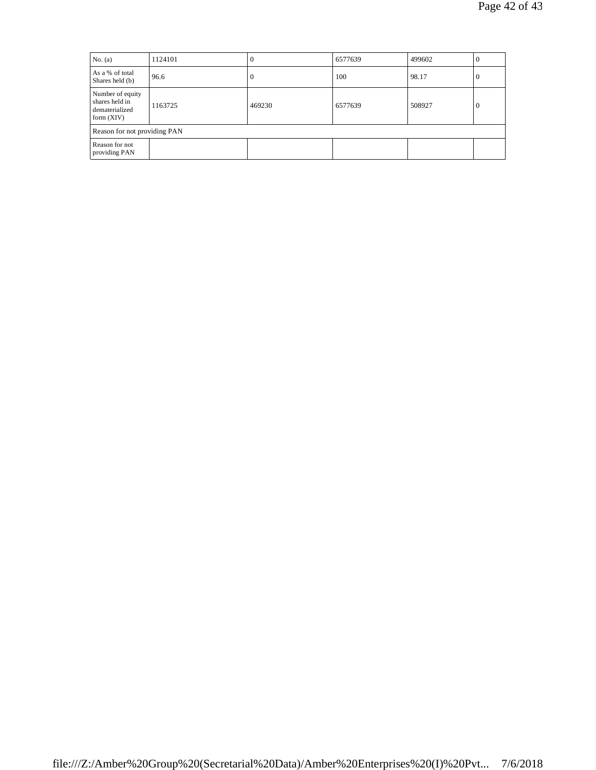| No. $(a)$                                                            | 1124101 | $\Omega$ | 6577639 | 499602 | $\theta$     |  |
|----------------------------------------------------------------------|---------|----------|---------|--------|--------------|--|
| As a % of total<br>Shares held (b)                                   | 96.6    | $\Omega$ | 100     | 98.17  | $\theta$     |  |
| Number of equity<br>shares held in<br>dematerialized<br>form $(XIV)$ | 1163725 | 469230   | 6577639 | 508927 | $\mathbf{0}$ |  |
| Reason for not providing PAN                                         |         |          |         |        |              |  |
| Reason for not<br>providing PAN                                      |         |          |         |        |              |  |